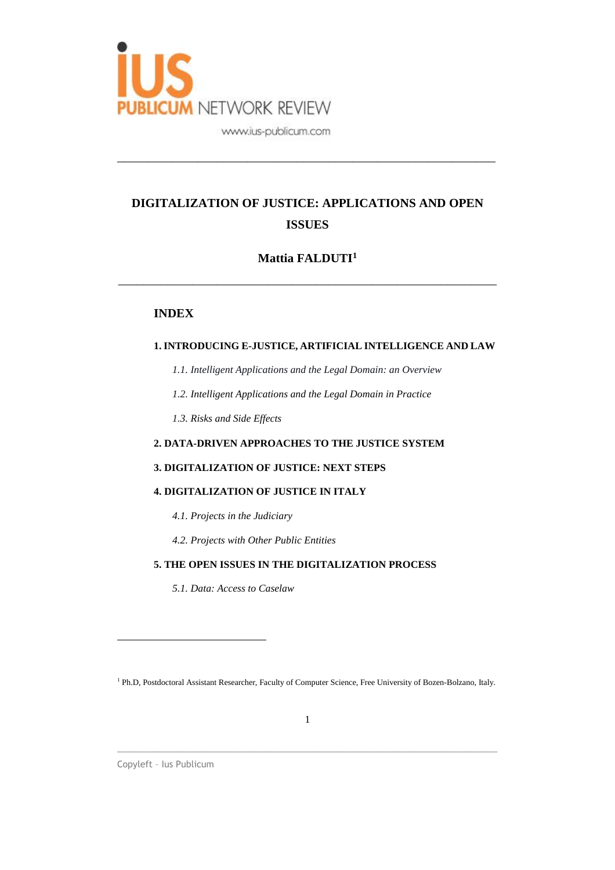

# **DIGITALIZATION OF JUSTICE: APPLICATIONS AND OPEN ISSUES**

\_\_\_\_\_\_\_\_\_\_\_\_\_\_\_\_\_\_\_\_\_\_\_\_\_\_\_\_\_\_\_\_\_\_\_\_\_\_\_\_\_\_\_\_\_\_\_\_\_\_\_\_\_\_\_\_\_\_\_\_\_

# **Mattia FALDUTI<sup>1</sup>**

\_\_\_\_\_\_\_\_\_\_\_\_\_\_\_\_\_\_\_\_\_\_\_\_\_\_\_\_\_\_\_\_\_\_\_\_\_\_\_\_\_\_\_\_\_\_\_\_\_\_\_\_\_\_\_\_\_\_\_\_\_

## **INDEX**

## **1. INTRODUCING E-JUSTICE, ARTIFICIAL INTELLIGENCE AND LAW**

- *1.1. Intelligent Applications and the Legal Domain: an Overview*
- *1.2. Intelligent Applications and the Legal Domain in Practice*
- *1.3. Risks and Side Effects*

## **2. DATA-DRIVEN APPROACHES TO THE JUSTICE SYSTEM**

### **3. DIGITALIZATION OF JUSTICE: NEXT STEPS**

### **4. DIGITALIZATION OF JUSTICE IN ITALY**

- *4.1. Projects in the Judiciary*
- *4.2. Projects with Other Public Entities*

## **5. THE OPEN ISSUES IN THE DIGITALIZATION PROCESS**

*5.1. Data: Access to Caselaw*

\_\_\_\_\_\_\_\_\_\_\_\_\_\_\_\_\_\_\_\_\_\_\_\_\_\_\_\_\_\_\_\_\_\_\_\_\_\_\_\_\_\_\_\_\_\_\_\_\_\_\_\_\_\_\_\_\_\_\_\_\_\_\_\_\_\_\_\_\_\_\_\_\_\_\_\_\_\_

Copyleft – Ius Publicum

<sup>1</sup> Ph.D, Postdoctoral Assistant Researcher, Faculty of Computer Science, Free University of Bozen-Bolzano, Italy.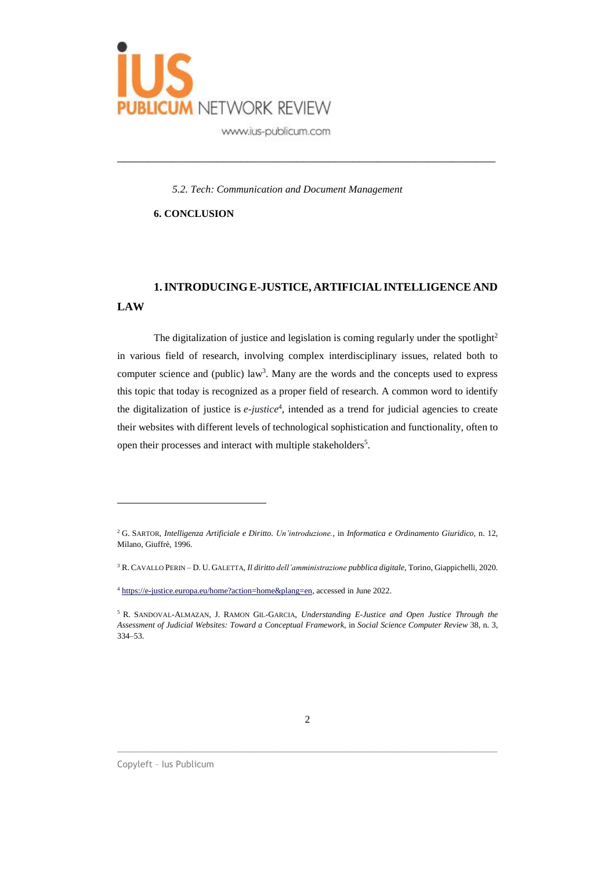

*5.2. Tech: Communication and Document Management*

\_\_\_\_\_\_\_\_\_\_\_\_\_\_\_\_\_\_\_\_\_\_\_\_\_\_\_\_\_\_\_\_\_\_\_\_\_\_\_\_\_\_\_\_\_\_\_\_\_\_\_\_\_\_\_\_\_\_\_\_\_

**6. CONCLUSION**

# **1.INTRODUCING E-JUSTICE, ARTIFICIALINTELLIGENCE AND LAW**

The digitalization of justice and legislation is coming regularly under the spotlight<sup>2</sup> in various field of research, involving complex interdisciplinary issues, related both to computer science and (public) law<sup>3</sup>. Many are the words and the concepts used to express this topic that today is recognized as a proper field of research. A common word to identify the digitalization of justice is *e-justice*<sup>4</sup>, intended as a trend for judicial agencies to create their websites with different levels of technological sophistication and functionality, often to open their processes and interact with multiple stakeholders<sup>5</sup>.

\_\_\_\_\_\_\_\_\_\_\_\_\_\_\_\_\_\_\_\_\_\_\_\_\_\_\_\_\_\_\_\_\_\_\_\_\_\_\_\_\_\_\_\_\_\_\_\_\_\_\_\_\_\_\_\_\_\_\_\_\_\_\_\_\_\_\_\_\_\_\_\_\_\_\_\_\_\_

<sup>2</sup> G. SARTOR, *Intelligenza Artificiale e Diritto. Un'introduzione.*, in *Informatica e Ordinamento Giuridico,* n. 12, Milano, Giuffrè, 1996.

<sup>3</sup> R. CAVALLO PERIN – D. U. GALETTA, *Il diritto dell'amministrazione pubblica digitale*, Torino, Giappichelli, 2020.

<sup>4</sup> [https://e-justice.europa.eu/home?action=home&plang=en,](https://e-justice.europa.eu/home?action=home&plang=en) accessed in June 2022.

<sup>5</sup> R. SANDOVAL-ALMAZAN, J. RAMON GIL-GARCIA, *Understanding E-Justice and Open Justice Through the Assessment of Judicial Websites: Toward a Conceptual Framework*, in *Social Science Computer Review* 38, n. 3, 334–53.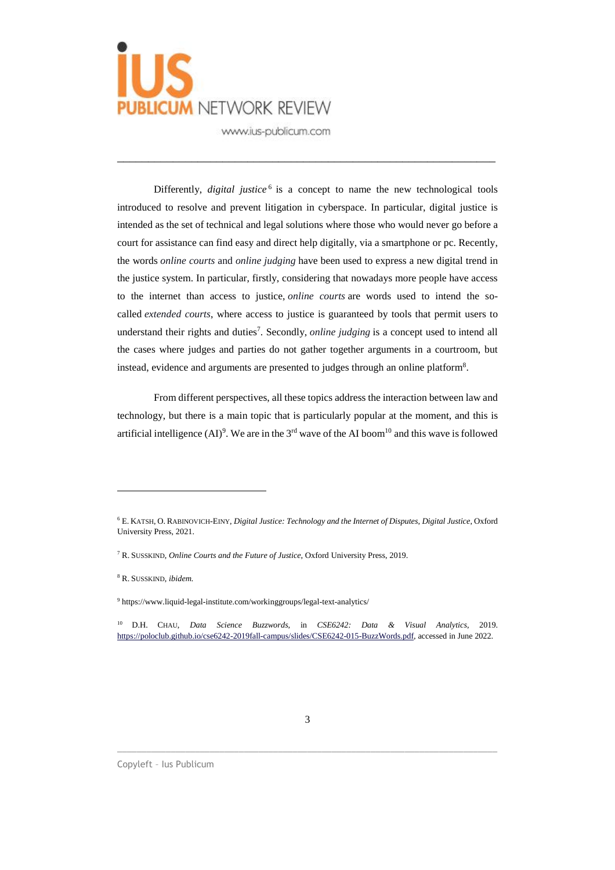

Differently, *digital justice*<sup>6</sup> is a concept to name the new technological tools introduced to resolve and prevent litigation in cyberspace. In particular, digital justice is intended as the set of technical and legal solutions where those who would never go before a court for assistance can find easy and direct help digitally, via a smartphone or pc. Recently, the words *online courts* and *online judging* have been used to express a new digital trend in the justice system. In particular, firstly, considering that nowadays more people have access to the internet than access to justice, *online courts* are words used to intend the socalled *extended courts*, where access to justice is guaranteed by tools that permit users to understand their rights and duties<sup>7</sup>. Secondly, *online judging* is a concept used to intend all the cases where judges and parties do not gather together arguments in a courtroom, but instead, evidence and arguments are presented to judges through an online platform<sup>8</sup>.

\_\_\_\_\_\_\_\_\_\_\_\_\_\_\_\_\_\_\_\_\_\_\_\_\_\_\_\_\_\_\_\_\_\_\_\_\_\_\_\_\_\_\_\_\_\_\_\_\_\_\_\_\_\_\_\_\_\_\_\_\_

From different perspectives, all these topics address the interaction between law and technology, but there is a main topic that is particularly popular at the moment, and this is artificial intelligence (AI)<sup>9</sup>. We are in the 3<sup>rd</sup> wave of the AI boom<sup>10</sup> and this wave is followed

 $\overline{a}$ 

 $\_$  ,  $\_$  ,  $\_$  ,  $\_$  ,  $\_$  ,  $\_$  ,  $\_$  ,  $\_$  ,  $\_$  ,  $\_$  ,  $\_$  ,  $\_$  ,  $\_$  ,  $\_$  ,  $\_$  ,  $\_$  ,  $\_$  ,  $\_$  ,  $\_$  ,  $\_$  ,  $\_$  ,  $\_$  ,  $\_$  ,  $\_$  ,  $\_$  ,  $\_$  ,  $\_$  ,  $\_$  ,  $\_$  ,  $\_$  ,  $\_$  ,  $\_$  ,  $\_$  ,  $\_$  ,  $\_$  ,  $\_$  ,  $\_$  ,

<sup>6</sup> E. KATSH, O. RABINOVICH-EINY, *Digital Justice: Technology and the Internet of Disputes*, *Digital Justice*, Oxford University Press, 2021.

<sup>7</sup> R. SUSSKIND, *Online Courts and the Future of Justice*, Oxford University Press, 2019.

<sup>8</sup> R. SUSSKIND, *ibidem.*

<sup>9</sup> https://www.liquid-legal-institute.com/workinggroups/legal-text-analytics/

<sup>10</sup> D.H. CHAU, *Data Science Buzzwords*, in *CSE6242: Data & Visual Analytics*, 2019. [https://poloclub.github.io/cse6242-2019fall-campus/slides/CSE6242-015-BuzzWords.pdf,](https://poloclub.github.io/cse6242-2019fall-campus/slides/CSE6242-015-BuzzWords.pdf) accessed in June 2022.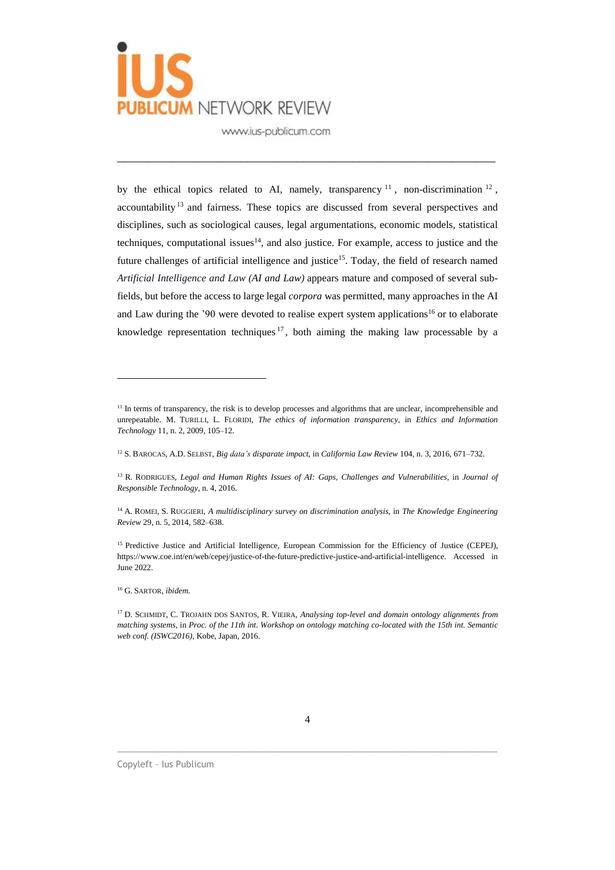

by the ethical topics related to AI, namely, transparency  $11$ , non-discrimination  $12$ , accountability<sup>13</sup> and fairness. These topics are discussed from several perspectives and disciplines, such as sociological causes, legal argumentations, economic models, statistical techniques, computational issues<sup>14</sup>, and also justice. For example, access to justice and the future challenges of artificial intelligence and justice<sup>15</sup>. Today, the field of research named *Artificial Intelligence and Law (AI and Law)* appears mature and composed of several subfields, but before the access to large legal *corpora* was permitted, many approaches in the AI and Law during the '90 were devoted to realise expert system applications<sup>16</sup> or to elaborate knowledge representation techniques  $17$ , both aiming the making law processable by a

\_\_\_\_\_\_\_\_\_\_\_\_\_\_\_\_\_\_\_\_\_\_\_\_\_\_\_\_\_\_\_\_\_\_\_\_\_\_\_\_\_\_\_\_\_\_\_\_\_\_\_\_\_\_\_\_\_\_\_\_\_

 $\overline{a}$ 

 $\_$  ,  $\_$  ,  $\_$  ,  $\_$  ,  $\_$  ,  $\_$  ,  $\_$  ,  $\_$  ,  $\_$  ,  $\_$  ,  $\_$  ,  $\_$  ,  $\_$  ,  $\_$  ,  $\_$  ,  $\_$  ,  $\_$  ,  $\_$  ,  $\_$  ,  $\_$  ,  $\_$  ,  $\_$  ,  $\_$  ,  $\_$  ,  $\_$  ,  $\_$  ,  $\_$  ,  $\_$  ,  $\_$  ,  $\_$  ,  $\_$  ,  $\_$  ,  $\_$  ,  $\_$  ,  $\_$  ,  $\_$  ,  $\_$  ,

<sup>&</sup>lt;sup>11</sup> In terms of transparency, the risk is to develop processes and algorithms that are unclear, incomprehensible and unrepeatable. M. TURILLI, L. FLORIDI, *The ethics of information transparency*, in *Ethics and Information Technology* 11, n. 2, 2009, 105–12.

<sup>12</sup> S. BAROCAS, A.D. SELBST, *Big data's disparate impact*, in *California Law Review* 104, n. 3, 2016, 671–732.

<sup>13</sup> R. RODRIGUES, *Legal and Human Rights Issues of AI: Gaps, Challenges and Vulnerabilities*, in *Journal of Responsible Technology*, n. 4, 2016.

<sup>14</sup> A. ROMEI, S. RUGGIERI, *A multidisciplinary survey on discrimination analysis*, in *The Knowledge Engineering Review* 29, n. 5, 2014, 582–638.

<sup>&</sup>lt;sup>15</sup> Predictive Justice and Artificial Intelligence, European Commission for the Efficiency of Justice (CEPEJ), https://www.coe.int/en/web/cepej/justice-of-the-future-predictive-justice-and-artificial-intelligence. Accessed in June 2022.

<sup>16</sup> G. SARTOR, *ibidem.*

<sup>17</sup> D. SCHMIDT, C. TROJAHN DOS SANTOS, R. VIEIRA, *Analysing top-level and domain ontology alignments from* matching systems, in Proc. of the 11th int. Workshop on ontology matching co-located with the 15th int. Semantic *web conf. (ISWC2016)*, Kobe, Japan, 2016.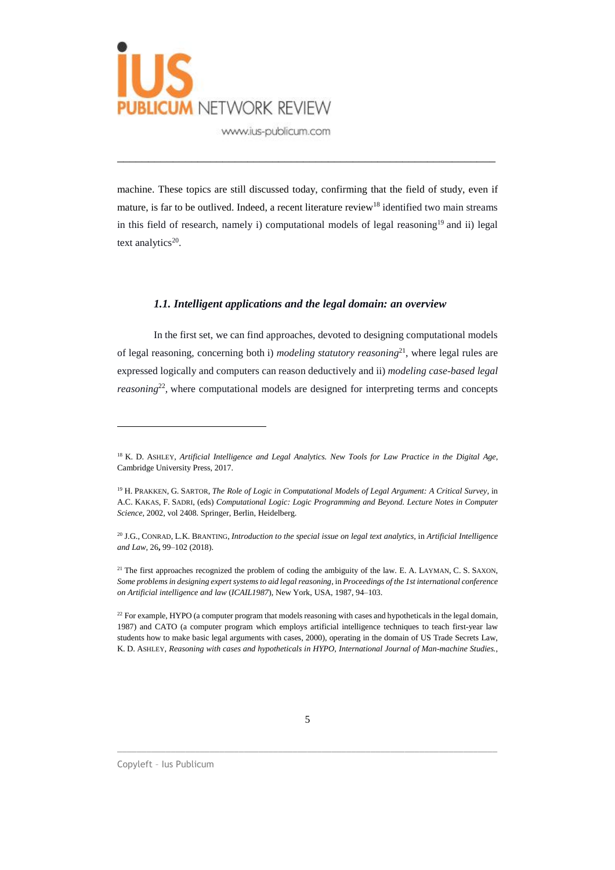

machine. These topics are still discussed today, confirming that the field of study, even if mature, is far to be outlived. Indeed, a recent literature review<sup>18</sup> identified two main streams in this field of research, namely i) computational models of legal reasoning<sup>19</sup> and ii) legal text analytics<sup>20</sup>.

\_\_\_\_\_\_\_\_\_\_\_\_\_\_\_\_\_\_\_\_\_\_\_\_\_\_\_\_\_\_\_\_\_\_\_\_\_\_\_\_\_\_\_\_\_\_\_\_\_\_\_\_\_\_\_\_\_\_\_\_\_

#### *1.1. Intelligent applications and the legal domain: an overview*

In the first set, we can find approaches, devoted to designing computational models of legal reasoning, concerning both i) *modeling statutory reasoning*<sup>21</sup> , where legal rules are expressed logically and computers can reason deductively and ii) *modeling case-based legal reasoning*<sup>22</sup>, where computational models are designed for interpreting terms and concepts

 $\_$  ,  $\_$  ,  $\_$  ,  $\_$  ,  $\_$  ,  $\_$  ,  $\_$  ,  $\_$  ,  $\_$  ,  $\_$  ,  $\_$  ,  $\_$  ,  $\_$  ,  $\_$  ,  $\_$  ,  $\_$  ,  $\_$  ,  $\_$  ,  $\_$  ,  $\_$  ,  $\_$  ,  $\_$  ,  $\_$  ,  $\_$  ,  $\_$  ,  $\_$  ,  $\_$  ,  $\_$  ,  $\_$  ,  $\_$  ,  $\_$  ,  $\_$  ,  $\_$  ,  $\_$  ,  $\_$  ,  $\_$  ,  $\_$  ,

<sup>18</sup> K. D. ASHLEY, *Artificial Intelligence and Legal Analytics. New Tools for Law Practice in the Digital Age*, Cambridge University Press, 2017.

<sup>19</sup> H. PRAKKEN, G. SARTOR, *The Role of Logic in Computational Models of Legal Argument: A Critical Survey,* in A.C. KAKAS, F. SADRI, (eds) *Computational Logic: Logic Programming and Beyond. Lecture Notes in Computer Science,* 2002, vol 2408. Springer, Berlin, Heidelberg.

<sup>20</sup> J.G., CONRAD, L.K. BRANTING, *Introduction to the special issue on legal text analytics,* in *Artificial Intelligence and Law,* 26**,** 99–102 (2018).

<sup>&</sup>lt;sup>21</sup> The first approaches recognized the problem of coding the ambiguity of the law. E. A. LAYMAN, C. S. SAXON, *Some problems in designing expert systemsto aid legal reasoning*, in *Proceedings of the 1st international conference on Artificial intelligence and law* (*ICAIL1987*), New York, USA, 1987, 94–103.

 $22$  For example, HYPO (a computer program that models reasoning with cases and [hypotheticals](https://en.wikipedia.org/wiki/Hypotheticals) in the legal domain, 1987) and CATO (a computer program which employs artificial intelligence techniques to teach first-year law students how to make basic legal arguments with cases, 2000), operating in the domain of US Trade Secrets Law, K. D. ASHLEY, *Reasoning with cases and hypotheticals in HYPO*, *International Journal of Man-machine Studies.*,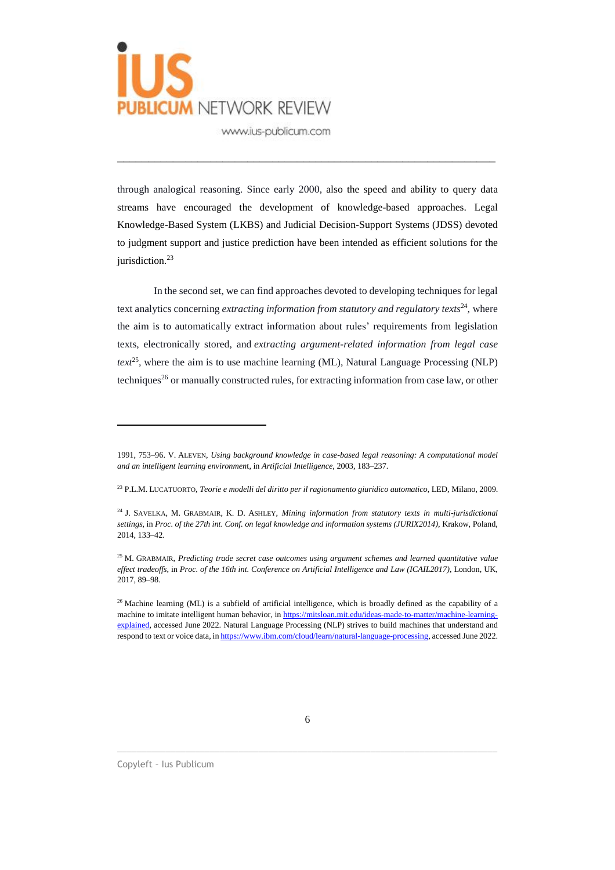

through analogical reasoning. Since early 2000, also the speed and ability to query data streams have encouraged the development of knowledge-based approaches. Legal Knowledge-Based System (LKBS) and Judicial Decision-Support Systems (JDSS) devoted to judgment support and justice prediction have been intended as efficient solutions for the jurisdiction.<sup>23</sup>

\_\_\_\_\_\_\_\_\_\_\_\_\_\_\_\_\_\_\_\_\_\_\_\_\_\_\_\_\_\_\_\_\_\_\_\_\_\_\_\_\_\_\_\_\_\_\_\_\_\_\_\_\_\_\_\_\_\_\_\_\_

In the second set, we can find approaches devoted to developing techniques for legal text analytics concerning *extracting information from statutory and regulatory texts*<sup>24</sup> *,* where the aim is to automatically extract information about rules' requirements from legislation texts, electronically stored, and *extracting argument-related information from legal case text*<sup>25</sup>, where the aim is to use machine learning (ML), Natural Language Processing (NLP) techniques<sup>26</sup> or manually constructed rules, for extracting information from case law, or other

 $\_$  ,  $\_$  ,  $\_$  ,  $\_$  ,  $\_$  ,  $\_$  ,  $\_$  ,  $\_$  ,  $\_$  ,  $\_$  ,  $\_$  ,  $\_$  ,  $\_$  ,  $\_$  ,  $\_$  ,  $\_$  ,  $\_$  ,  $\_$  ,  $\_$  ,  $\_$  ,  $\_$  ,  $\_$  ,  $\_$  ,  $\_$  ,  $\_$  ,  $\_$  ,  $\_$  ,  $\_$  ,  $\_$  ,  $\_$  ,  $\_$  ,  $\_$  ,  $\_$  ,  $\_$  ,  $\_$  ,  $\_$  ,  $\_$  ,

<sup>1991,</sup> 753–96. V. ALEVEN, *Using background knowledge in case-based legal reasoning: A computational model and an intelligent learning environmen*t, in *Artificial Intelligence*, 2003, 183–237.

<sup>23</sup> P.L.M. LUCATUORTO, *Teorie e modelli del diritto per il ragionamento giuridico automatico*, LED, Milano, 2009.

<sup>24</sup> J. SAVELKA, M. GRABMAIR, K. D. ASHLEY, *Mining information from statutory texts in multi-jurisdictional settings*, in *Proc. of the 27th int. Conf. on legal knowledge and information systems (JURIX2014)*, Krakow, Poland, 2014, 133–42.

<sup>25</sup> M. GRABMAIR, *Predicting trade secret case outcomes using argument schemes and learned quantitative value effect tradeoffs*, in *Proc. of the 16th int. Conference on Artificial Intelligence and Law (ICAIL2017)*, London, UK, 2017, 89–98.

 $26$  Machine learning (ML) is a subfield of artificial intelligence, which is broadly defined as the capability of a machine to imitate intelligent human behavior, in [https://mitsloan.mit.edu/ideas-made-to-matter/machine-learning](https://mitsloan.mit.edu/ideas-made-to-matter/machine-learning-explained)[explained,](https://mitsloan.mit.edu/ideas-made-to-matter/machine-learning-explained) accessed June 2022. Natural Language Processing (NLP) strives to build machines that understand and respond to text or voice data, in [https://www.ibm.com/cloud/learn/natural-language-processing,](https://www.ibm.com/cloud/learn/natural-language-processing) accessed June 2022.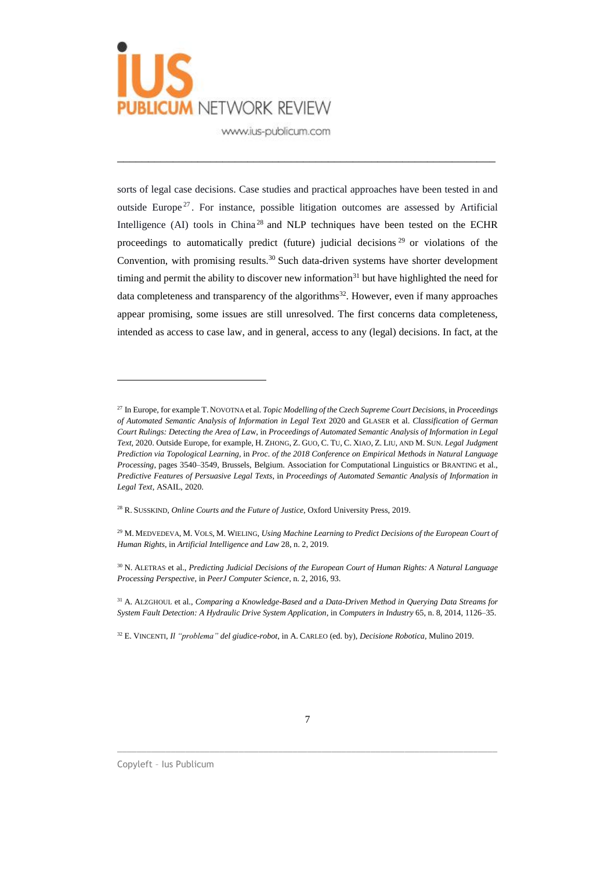

sorts of legal case decisions. Case studies and practical approaches have been tested in and outside Europe<sup>27</sup>. For instance, possible litigation outcomes are assessed by Artificial Intelligence (AI) tools in China<sup>28</sup> and NLP techniques have been tested on the ECHR proceedings to automatically predict (future) judicial decisions<sup>29</sup> or violations of the Convention, with promising results.<sup>30</sup> Such data-driven systems have shorter development timing and permit the ability to discover new information<sup>31</sup> but have highlighted the need for data completeness and transparency of the algorithms<sup>32</sup>. However, even if many approaches appear promising, some issues are still unresolved. The first concerns data completeness, intended as access to case law, and in general, access to any (legal) decisions. In fact, at the

\_\_\_\_\_\_\_\_\_\_\_\_\_\_\_\_\_\_\_\_\_\_\_\_\_\_\_\_\_\_\_\_\_\_\_\_\_\_\_\_\_\_\_\_\_\_\_\_\_\_\_\_\_\_\_\_\_\_\_\_\_

<sup>28</sup> R. SUSSKIND, *Online Courts and the Future of Justice*, Oxford University Press, 2019.

 $\_$  ,  $\_$  ,  $\_$  ,  $\_$  ,  $\_$  ,  $\_$  ,  $\_$  ,  $\_$  ,  $\_$  ,  $\_$  ,  $\_$  ,  $\_$  ,  $\_$  ,  $\_$  ,  $\_$  ,  $\_$  ,  $\_$  ,  $\_$  ,  $\_$  ,  $\_$  ,  $\_$  ,  $\_$  ,  $\_$  ,  $\_$  ,  $\_$  ,  $\_$  ,  $\_$  ,  $\_$  ,  $\_$  ,  $\_$  ,  $\_$  ,  $\_$  ,  $\_$  ,  $\_$  ,  $\_$  ,  $\_$  ,  $\_$  ,

<sup>27</sup> In Europe, for example T. NOVOTNA et al. *Topic Modelling of the Czech Supreme Court Decisions*, in *Proceedings of Automated Semantic Analysis of Information in Legal Text* 2020 and GLASER et al. *Classification of German Court Rulings: Detecting the Area of La*w, in *Proceedings of Automated Semantic Analysis of Information in Legal Text,* 2020. Outside Europe, for example, H. ZHONG, Z. GUO, C. TU, C. XIAO, Z. LIU, AND M. SUN. *Legal Judgment Prediction via Topological Learning,* in *Proc. of the 2018 Conference on Empirical Methods in Natural Language Processing*, pages 3540–3549, Brussels, Belgium. Association for Computational Linguistics or BRANTING et al., *Predictive Features of Persuasive Legal Texts*, in *Proceedings of Automated Semantic Analysis of Information in Legal Text*, ASAIL, 2020.

<sup>29</sup> M. MEDVEDEVA, M. VOLS, M. WIELING*, Using Machine Learning to Predict Decisions of the European Court of Human Rights*, in *Artificial Intelligence and Law* 28, n. 2, 2019.

<sup>30</sup> N. ALETRAS et al., *Predicting Judicial Decisions of the European Court of Human Rights: A Natural Language Processing Perspective*, in *PeerJ Computer Science*, n. 2, 2016, 93.

<sup>31</sup> A. ALZGHOUL et al., *Comparing a Knowledge-Based and a Data-Driven Method in Querying Data Streams for System Fault Detection: A Hydraulic Drive System Application*, in *Computers in Industry* 65, n. 8, 2014, 1126–35.

<sup>32</sup> E. VINCENTI, *Il "problema" del giudice-robot*, in A. CARLEO (ed. by), *Decisione Robotica,* Mulino 2019.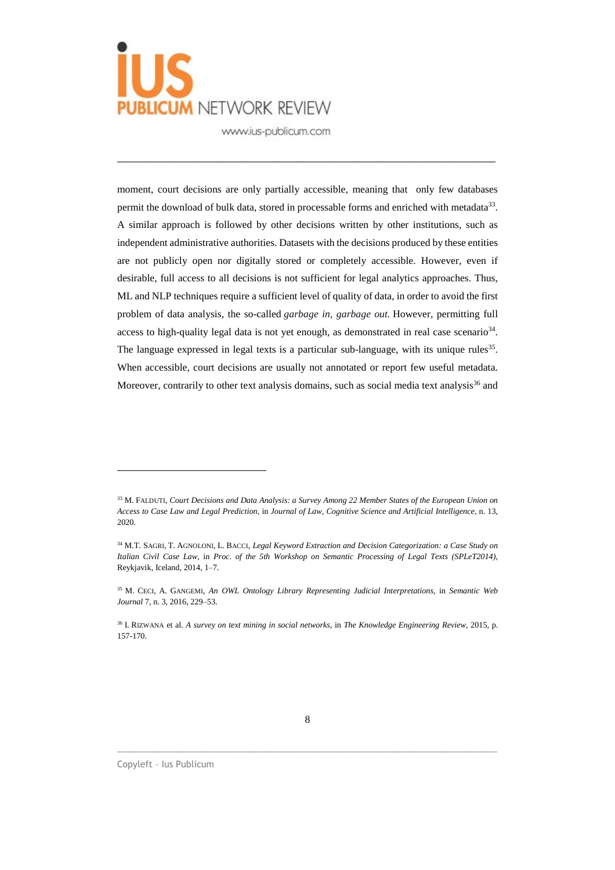

moment, court decisions are only partially accessible, meaning that only few databases permit the download of bulk data, stored in processable forms and enriched with metadata<sup>33</sup>. A similar approach is followed by other decisions written by other institutions, such as independent administrative authorities. Datasets with the decisions produced by these entities are not publicly open nor digitally stored or completely accessible. However, even if desirable, full access to all decisions is not sufficient for legal analytics approaches. Thus, ML and NLP techniques require a sufficient level of quality of data, in order to avoid the first problem of data analysis, the so-called *garbage in, garbage out.* However, permitting full access to high-quality legal data is not yet enough, as demonstrated in real case scenario<sup>34</sup>. The language expressed in legal texts is a particular sub-language, with its unique rules<sup>35</sup>. When accessible, court decisions are usually not annotated or report few useful metadata. Moreover, contrarily to other text analysis domains, such as social media text analysis $36$  and

\_\_\_\_\_\_\_\_\_\_\_\_\_\_\_\_\_\_\_\_\_\_\_\_\_\_\_\_\_\_\_\_\_\_\_\_\_\_\_\_\_\_\_\_\_\_\_\_\_\_\_\_\_\_\_\_\_\_\_\_\_

 $\_$  ,  $\_$  ,  $\_$  ,  $\_$  ,  $\_$  ,  $\_$  ,  $\_$  ,  $\_$  ,  $\_$  ,  $\_$  ,  $\_$  ,  $\_$  ,  $\_$  ,  $\_$  ,  $\_$  ,  $\_$  ,  $\_$  ,  $\_$  ,  $\_$  ,  $\_$  ,  $\_$  ,  $\_$  ,  $\_$  ,  $\_$  ,  $\_$  ,  $\_$  ,  $\_$  ,  $\_$  ,  $\_$  ,  $\_$  ,  $\_$  ,  $\_$  ,  $\_$  ,  $\_$  ,  $\_$  ,  $\_$  ,  $\_$  ,

<sup>33</sup> M. FALDUTI, *Court Decisions and Data Analysis: a Survey Among 22 Member States of the European Union on Access to Case Law and Legal Prediction*, in *Journal of Law, Cognitive Science and Artificial Intelligence*, n. 13, 2020.

<sup>34</sup> M.T. SAGRI, T. AGNOLONI, L. BACCI, *Legal Keyword Extraction and Decision Categorization: a Case Study on Italian Civil Case Law*, in *Proc. of the 5th Workshop on Semantic Processing of Legal Texts (SPLeT2014)*, Reykjavik, Iceland, 2014, 1–7.

<sup>35</sup> M. CECI, A. GANGEMI, *An OWL Ontology Library Representing Judicial Interpretations*, in *Semantic Web Journal* 7, n. 3, 2016, 229–53.

<sup>36</sup> I. RIZWANA et al. *A survey on text mining in social networks*, in *The Knowledge Engineering Review,* 2015, p. 157-170.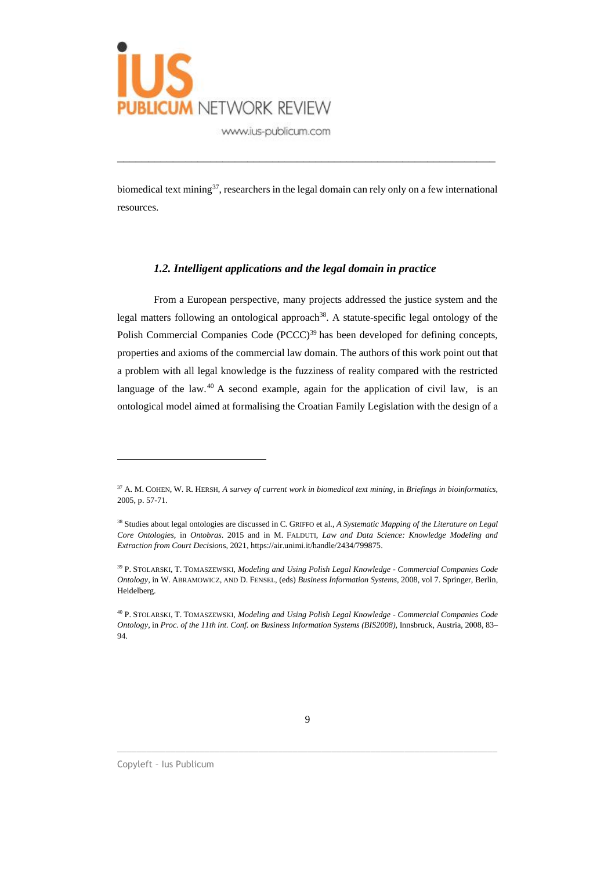

biomedical text mining<sup>37</sup>, researchers in the legal domain can rely only on a few international resources.

\_\_\_\_\_\_\_\_\_\_\_\_\_\_\_\_\_\_\_\_\_\_\_\_\_\_\_\_\_\_\_\_\_\_\_\_\_\_\_\_\_\_\_\_\_\_\_\_\_\_\_\_\_\_\_\_\_\_\_\_\_

#### *1.2. Intelligent applications and the legal domain in practice*

From a European perspective, many projects addressed the justice system and the legal matters following an ontological approach<sup>38</sup>. A statute-specific legal ontology of the Polish Commercial Companies Code (PCCC)<sup>39</sup> has been developed for defining concepts, properties and axioms of the commercial law domain. The authors of this work point out that a problem with all legal knowledge is the fuzziness of reality compared with the restricted language of the law. $40$  A second example, again for the application of civil law, is an ontological model aimed at formalising the Croatian Family Legislation with the design of a

 $\_$  ,  $\_$  ,  $\_$  ,  $\_$  ,  $\_$  ,  $\_$  ,  $\_$  ,  $\_$  ,  $\_$  ,  $\_$  ,  $\_$  ,  $\_$  ,  $\_$  ,  $\_$  ,  $\_$  ,  $\_$  ,  $\_$  ,  $\_$  ,  $\_$  ,  $\_$  ,  $\_$  ,  $\_$  ,  $\_$  ,  $\_$  ,  $\_$  ,  $\_$  ,  $\_$  ,  $\_$  ,  $\_$  ,  $\_$  ,  $\_$  ,  $\_$  ,  $\_$  ,  $\_$  ,  $\_$  ,  $\_$  ,  $\_$  ,

<sup>37</sup> A. M. COHEN, W. R. HERSH, *A survey of current work in biomedical text mining*, in *Briefings in bioinformatics,* 2005, p. 57-71.

<sup>38</sup> Studies about legal ontologies are discussed in C. GRIFFO et al., *A Systematic Mapping of the Literature on Legal Core Ontologies,* in *Ontobras*. 2015 and in M. FALDUTI, *Law and Data Science: Knowledge Modeling and Extraction from Court Decision*s, 2021, https://air.unimi.it/handle/2434/799875.

<sup>39</sup> P. STOLARSKI, T. TOMASZEWSKI, *Modeling and Using Polish Legal Knowledge - Commercial Companies Code Ontology,* in W. ABRAMOWICZ, AND D. FENSEL, (eds) *Business Information Systems,* 2008, vol 7. Springer, Berlin, Heidelberg.

<sup>40</sup> P. STOLARSKI, T. TOMASZEWSKI, *Modeling and Using Polish Legal Knowledge - Commercial Companies Code Ontology*, in *Proc. of the 11th int. Conf. on Business Information Systems (BIS2008),* Innsbruck, Austria, 2008, 83– 94.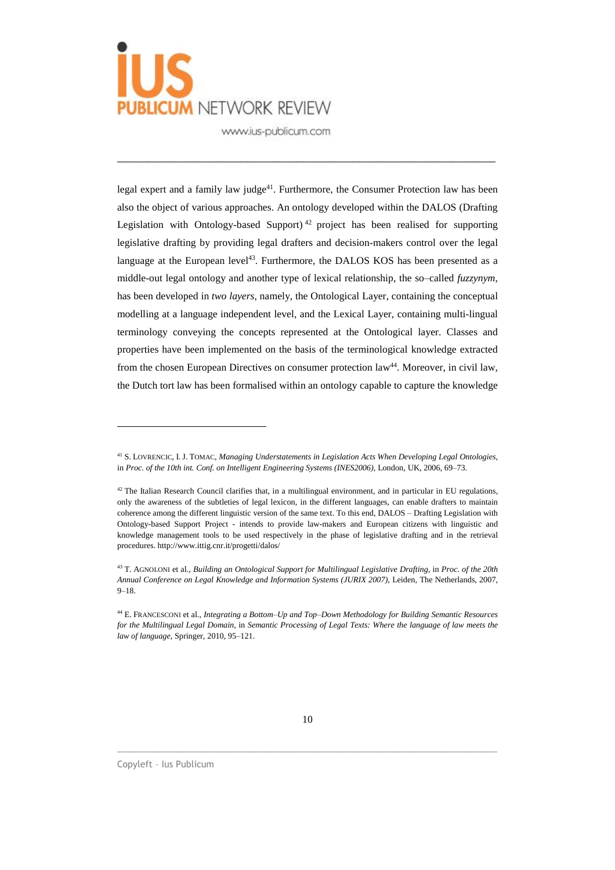

legal expert and a family law judge<sup>41</sup>. Furthermore, the Consumer Protection law has been also the object of various approaches. An ontology developed within the DALOS (Drafting Legislation with Ontology-based Support)<sup>42</sup> project has been realised for supporting legislative drafting by providing legal drafters and decision-makers control over the legal language at the European level<sup>43</sup>. Furthermore, the DALOS KOS has been presented as a middle-out legal ontology and another type of lexical relationship, the so–called *fuzzynym*, has been developed in *two layers*, namely, the Ontological Layer, containing the conceptual modelling at a language independent level, and the Lexical Layer, containing multi-lingual terminology conveying the concepts represented at the Ontological layer. Classes and properties have been implemented on the basis of the terminological knowledge extracted from the chosen European Directives on consumer protection law<sup>44</sup>. Moreover, in civil law, the Dutch tort law has been formalised within an ontology capable to capture the knowledge

\_\_\_\_\_\_\_\_\_\_\_\_\_\_\_\_\_\_\_\_\_\_\_\_\_\_\_\_\_\_\_\_\_\_\_\_\_\_\_\_\_\_\_\_\_\_\_\_\_\_\_\_\_\_\_\_\_\_\_\_\_

 $\_$  ,  $\_$  ,  $\_$  ,  $\_$  ,  $\_$  ,  $\_$  ,  $\_$  ,  $\_$  ,  $\_$  ,  $\_$  ,  $\_$  ,  $\_$  ,  $\_$  ,  $\_$  ,  $\_$  ,  $\_$  ,  $\_$  ,  $\_$  ,  $\_$  ,  $\_$  ,  $\_$  ,  $\_$  ,  $\_$  ,  $\_$  ,  $\_$  ,  $\_$  ,  $\_$  ,  $\_$  ,  $\_$  ,  $\_$  ,  $\_$  ,  $\_$  ,  $\_$  ,  $\_$  ,  $\_$  ,  $\_$  ,  $\_$  ,

<sup>41</sup> S. LOVRENCIC, I. J. TOMAC, *Managing Understatements in Legislation Acts When Developing Legal Ontologies*, in *Proc. of the 10th int. Conf. on Intelligent Engineering Systems (INES2006)*, London, UK, 2006, 69–73.

<sup>&</sup>lt;sup>42</sup> The Italian Research Council clarifies that, in a multilingual environment, and in particular in EU regulations, only the awareness of the subtleties of legal lexicon, in the different languages, can enable drafters to maintain coherence among the different linguistic version of the same text. To this end, DALOS – Drafting Legislation with Ontology-based Support Project - intends to provide law-makers and European citizens with linguistic and knowledge management tools to be used respectively in the phase of legislative drafting and in the retrieval procedures. http://www.ittig.cnr.it/progetti/dalos/

<sup>43</sup> T. AGNOLONI et al., *Building an Ontological Support for Multilingual Legislative Drafting*, in *Proc. of the 20th Annual Conference on Legal Knowledge and Information Systems (JURIX 2007)*, Leiden, The Netherlands, 2007, 9–18.

<sup>44</sup> E. FRANCESCONI et al., *Integrating a Bottom–Up and Top–Down Methodology for Building Semantic Resources* for the Multilingual Legal Domain, in Semantic Processing of Legal Texts: Where the language of law meets the *law of language*, Springer, 2010, 95–121.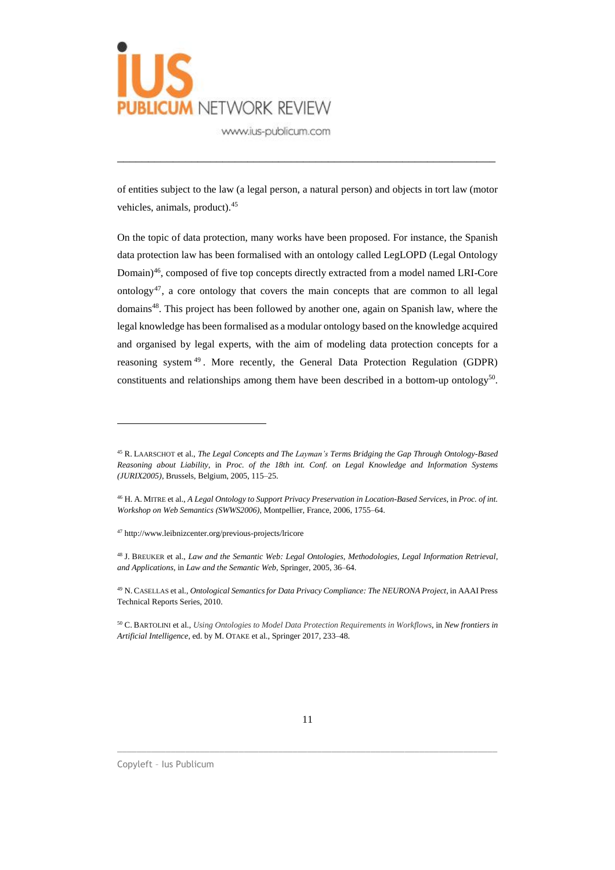

of entities subject to the law (a legal person, a natural person) and objects in tort law (motor vehicles, animals, product).<sup>45</sup>

\_\_\_\_\_\_\_\_\_\_\_\_\_\_\_\_\_\_\_\_\_\_\_\_\_\_\_\_\_\_\_\_\_\_\_\_\_\_\_\_\_\_\_\_\_\_\_\_\_\_\_\_\_\_\_\_\_\_\_\_\_

On the topic of data protection, many works have been proposed. For instance, the Spanish data protection law has been formalised with an ontology called LegLOPD (Legal Ontology Domain)<sup>46</sup> , composed of five top concepts directly extracted from a model named LRI-Core ontology<sup>47</sup>, a core ontology that covers the main concepts that are common to all legal domains<sup>48</sup>. This project has been followed by another one, again on Spanish law, where the legal knowledge has been formalised as a modular ontology based on the knowledge acquired and organised by legal experts, with the aim of modeling data protection concepts for a reasoning system<sup>49</sup>. More recently, the General Data Protection Regulation (GDPR) constituents and relationships among them have been described in a bottom-up ontology<sup>50</sup>.

 $\overline{a}$ 

 $\_$  ,  $\_$  ,  $\_$  ,  $\_$  ,  $\_$  ,  $\_$  ,  $\_$  ,  $\_$  ,  $\_$  ,  $\_$  ,  $\_$  ,  $\_$  ,  $\_$  ,  $\_$  ,  $\_$  ,  $\_$  ,  $\_$  ,  $\_$  ,  $\_$  ,  $\_$  ,  $\_$  ,  $\_$  ,  $\_$  ,  $\_$  ,  $\_$  ,  $\_$  ,  $\_$  ,  $\_$  ,  $\_$  ,  $\_$  ,  $\_$  ,  $\_$  ,  $\_$  ,  $\_$  ,  $\_$  ,  $\_$  ,  $\_$  ,

<sup>45</sup> R. LAARSCHOT et al., *The Legal Concepts and The Layman's Terms Bridging the Gap Through Ontology-Based Reasoning about Liability*, in *Proc. of the 18th int. Conf. on Legal Knowledge and Information Systems (JURIX2005)*, Brussels, Belgium, 2005, 115–25.

<sup>46</sup> H. A. MITRE et al., *A Legal Ontology to Support Privacy Preservation in Location-Based Services*, in *Proc. of int. Workshop on Web Semantics (SWWS2006)*, Montpellier, France, 2006, 1755–64.

<sup>47</sup> http://www.leibnizcenter.org/previous-projects/lricore

<sup>48</sup> J. BREUKER et al., *Law and the Semantic Web: Legal Ontologies, Methodologies, Legal Information Retrieval, and Applications*, in *Law and the Semantic Web*, Springer, 2005, 36–64.

<sup>49</sup> N. CASELLAS et al., *Ontological Semantics for Data Privacy Compliance: The NEURONA Project*, in AAAI Press Technical Reports Series, 2010.

<sup>50</sup> C. BARTOLINI et al., *Using Ontologies to Model Data Protection Requirements in Workflows*, in *New frontiers in Artificial Intelligence*, ed. by M. OTAKE et al., Springer 2017, 233–48.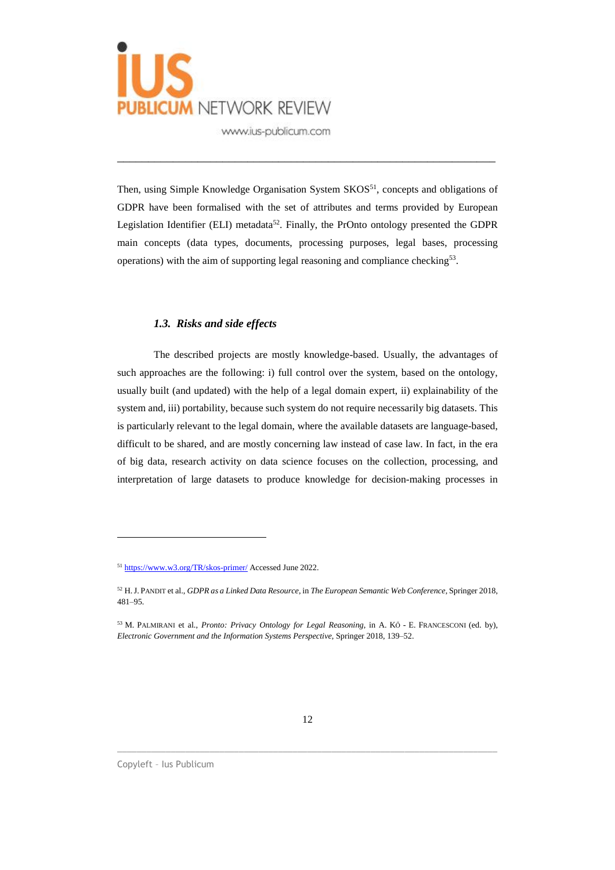

Then, using Simple Knowledge Organisation System SKOS<sup>51</sup>, concepts and obligations of GDPR have been formalised with the set of attributes and terms provided by European Legislation Identifier (ELI) metadata<sup>52</sup>. Finally, the PrOnto ontology presented the GDPR main concepts (data types, documents, processing purposes, legal bases, processing operations) with the aim of supporting legal reasoning and compliance checking<sup>53</sup>.

\_\_\_\_\_\_\_\_\_\_\_\_\_\_\_\_\_\_\_\_\_\_\_\_\_\_\_\_\_\_\_\_\_\_\_\_\_\_\_\_\_\_\_\_\_\_\_\_\_\_\_\_\_\_\_\_\_\_\_\_\_

#### *1.3. Risks and side effects*

The described projects are mostly knowledge-based. Usually, the advantages of such approaches are the following: i) full control over the system, based on the ontology, usually built (and updated) with the help of a legal domain expert, ii) explainability of the system and, iii) portability, because such system do not require necessarily big datasets. This is particularly relevant to the legal domain, where the available datasets are language-based, difficult to be shared, and are mostly concerning law instead of case law. In fact, in the era of big data, research activity on data science focuses on the collection, processing, and interpretation of large datasets to produce knowledge for decision-making processes in

 $\_$  ,  $\_$  ,  $\_$  ,  $\_$  ,  $\_$  ,  $\_$  ,  $\_$  ,  $\_$  ,  $\_$  ,  $\_$  ,  $\_$  ,  $\_$  ,  $\_$  ,  $\_$  ,  $\_$  ,  $\_$  ,  $\_$  ,  $\_$  ,  $\_$  ,  $\_$  ,  $\_$  ,  $\_$  ,  $\_$  ,  $\_$  ,  $\_$  ,  $\_$  ,  $\_$  ,  $\_$  ,  $\_$  ,  $\_$  ,  $\_$  ,  $\_$  ,  $\_$  ,  $\_$  ,  $\_$  ,  $\_$  ,  $\_$  ,

<sup>51</sup> <https://www.w3.org/TR/skos-primer/> Accessed June 2022.

<sup>52</sup> H.J. PANDIT et al., *GDPR as a Linked Data Resource*, in *The European Semantic Web Conference*, Springer 2018, 481–95.

<sup>53</sup> M. PALMIRANI et al., *Pronto: Privacy Ontology for Legal Reasoning*, in A. KŐ - E. FRANCESCONI (ed. by), *Electronic Government and the Information Systems Perspective*, Springer 2018, 139–52.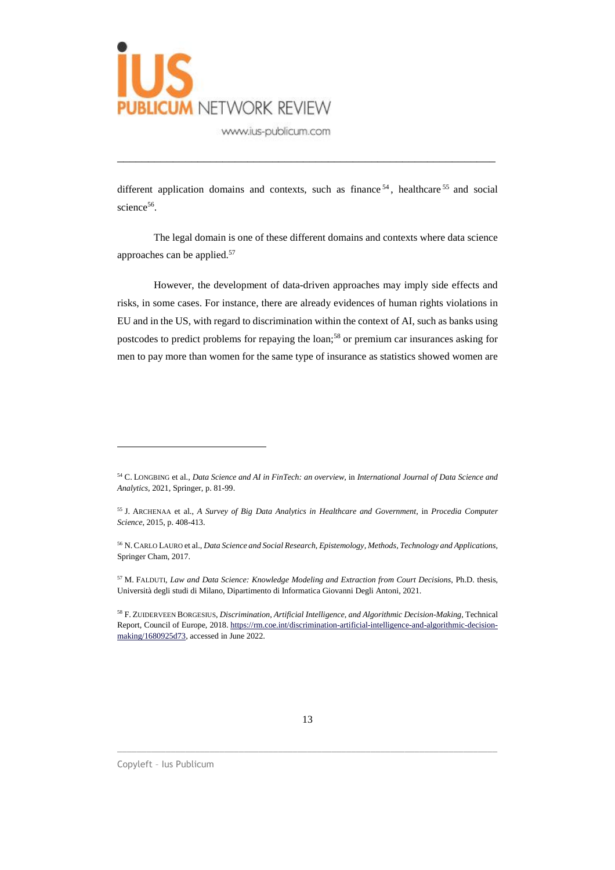

different application domains and contexts, such as finance<sup>54</sup>, healthcare<sup>55</sup> and social science<sup>56</sup>.

\_\_\_\_\_\_\_\_\_\_\_\_\_\_\_\_\_\_\_\_\_\_\_\_\_\_\_\_\_\_\_\_\_\_\_\_\_\_\_\_\_\_\_\_\_\_\_\_\_\_\_\_\_\_\_\_\_\_\_\_\_

The legal domain is one of these different domains and contexts where data science approaches can be applied.<sup>57</sup>

However, the development of data-driven approaches may imply side effects and risks, in some cases. For instance, there are already evidences of human rights violations in EU and in the US, with regard to discrimination within the context of AI, such as banks using postcodes to predict problems for repaying the loan;<sup>58</sup> or premium car insurances asking for men to pay more than women for the same type of insurance as statistics showed women are

<sup>57</sup> M. FALDUTI, *Law and Data Science: Knowledge Modeling and Extraction from Court Decisions*, Ph.D. thesis, Università degli studi di Milano, Dipartimento di Informatica Giovanni Degli Antoni, 2021.

 $\_$  ,  $\_$  ,  $\_$  ,  $\_$  ,  $\_$  ,  $\_$  ,  $\_$  ,  $\_$  ,  $\_$  ,  $\_$  ,  $\_$  ,  $\_$  ,  $\_$  ,  $\_$  ,  $\_$  ,  $\_$  ,  $\_$  ,  $\_$  ,  $\_$  ,  $\_$  ,  $\_$  ,  $\_$  ,  $\_$  ,  $\_$  ,  $\_$  ,  $\_$  ,  $\_$  ,  $\_$  ,  $\_$  ,  $\_$  ,  $\_$  ,  $\_$  ,  $\_$  ,  $\_$  ,  $\_$  ,  $\_$  ,  $\_$  ,

<sup>54</sup> C. LONGBING et al., *Data Science and AI in FinTech: an overview,* in *International Journal of Data Science and Analytics,* 2021, Springer, p. 81-99.

<sup>55</sup> J. ARCHENAA et al., *A Survey of Big Data Analytics in Healthcare and Government,* in *Procedia Computer Science,* 2015, p. 408-413.

<sup>56</sup> N.CARLO LAURO et al., *Data Science and Social Research, Epistemology, Methods, Technology and Applications,* Springer Cham, 2017.

<sup>58</sup> F. ZUIDERVEEN BORGESIUS, *Discrimination, Artificial Intelligence, and Algorithmic Decision-Making*, Technical Report, Council of Europe, 2018. [https://rm.coe.int/discrimination-artificial-intelligence-and-algorithmic-decision](https://rm.coe.int/discrimination-artificial-intelligence-and-algorithmic-decision-making/1680925d73)[making/1680925d73,](https://rm.coe.int/discrimination-artificial-intelligence-and-algorithmic-decision-making/1680925d73) accessed in June 2022.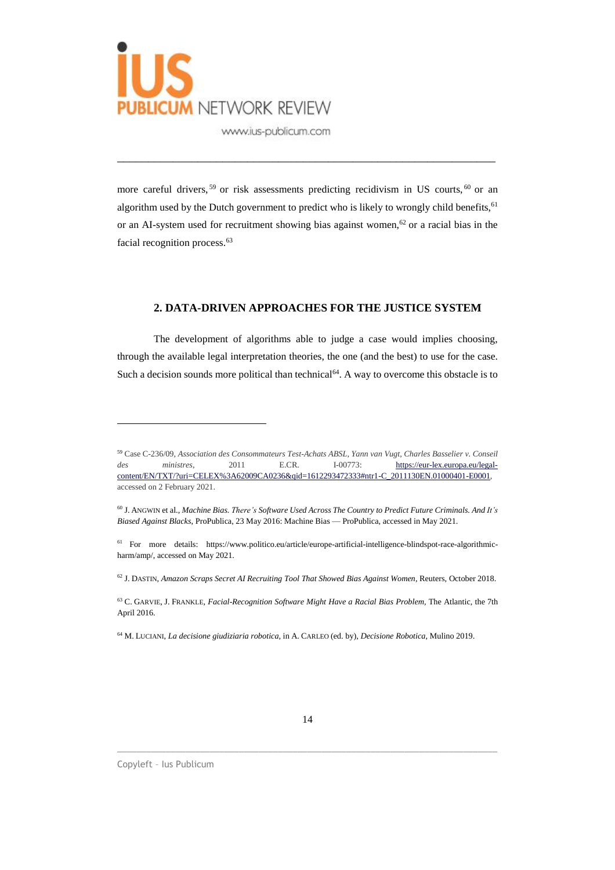

more careful drivers,<sup>59</sup> or risk assessments predicting recidivism in US courts,<sup>60</sup> or an algorithm used by the Dutch government to predict who is likely to wrongly child benefits,  $61$ or an AI-system used for recruitment showing bias against women,<sup>62</sup> or a racial bias in the facial recognition process.<sup>63</sup>

\_\_\_\_\_\_\_\_\_\_\_\_\_\_\_\_\_\_\_\_\_\_\_\_\_\_\_\_\_\_\_\_\_\_\_\_\_\_\_\_\_\_\_\_\_\_\_\_\_\_\_\_\_\_\_\_\_\_\_\_\_

#### **2. DATA-DRIVEN APPROACHES FOR THE JUSTICE SYSTEM**

The development of algorithms able to judge a case would implies choosing, through the available legal interpretation theories, the one (and the best) to use for the case. Such a decision sounds more political than technical<sup>64</sup>. A way to overcome this obstacle is to

 $\_$  ,  $\_$  ,  $\_$  ,  $\_$  ,  $\_$  ,  $\_$  ,  $\_$  ,  $\_$  ,  $\_$  ,  $\_$  ,  $\_$  ,  $\_$  ,  $\_$  ,  $\_$  ,  $\_$  ,  $\_$  ,  $\_$  ,  $\_$  ,  $\_$  ,  $\_$  ,  $\_$  ,  $\_$  ,  $\_$  ,  $\_$  ,  $\_$  ,  $\_$  ,  $\_$  ,  $\_$  ,  $\_$  ,  $\_$  ,  $\_$  ,  $\_$  ,  $\_$  ,  $\_$  ,  $\_$  ,  $\_$  ,  $\_$  ,

<sup>59</sup> Case C-236/09, *Association des Consommateurs Test-Achats ABSL, Yann van Vugt, Charles Basselier v. Conseil des ministres*, 2011 E.CR. I-00773: [https://eur-lex.europa.eu/legal](https://eur-lex.europa.eu/legal-content/EN/TXT/?uri=CELEX%25253A62009CA0236&qid=1612293472333#ntr1-C_2011130EN.01000401-E0001)[content/EN/TXT/?uri=CELEX%3A62009CA0236&qid=1612293472333#ntr1-C\\_2011130EN.01000401-E0001,](https://eur-lex.europa.eu/legal-content/EN/TXT/?uri=CELEX%25253A62009CA0236&qid=1612293472333#ntr1-C_2011130EN.01000401-E0001) accessed on 2 February 2021.

<sup>60</sup> J. ANGWIN et al., *Machine Bias. There's Software Used Across The Country to Predict Future Criminals. And It's Biased Against Blacks*, ProPublica, 23 May 2016: Machine Bias — ProPublica, accessed in May 2021.

<sup>61</sup> For more details: https://www.politico.eu/article/europe-artificial-intelligence-blindspot-race-algorithmicharm/amp/, accessed on May 2021.

<sup>62</sup> J. DASTIN, *Amazon Scraps Secret AI Recruiting Tool That Showed Bias Against Women*, Reuters, October 2018.

<sup>63</sup> C. GARVIE, J. FRANKLE, *Facial-Recognition Software Might Have a Racial Bias Problem*, The Atlantic, the 7th April 2016.

<sup>64</sup> M. LUCIANI, *La decisione giudiziaria robotica,* in A. CARLEO (ed. by), *Decisione Robotica,* Mulino 2019.

Copyleft – Ius Publicum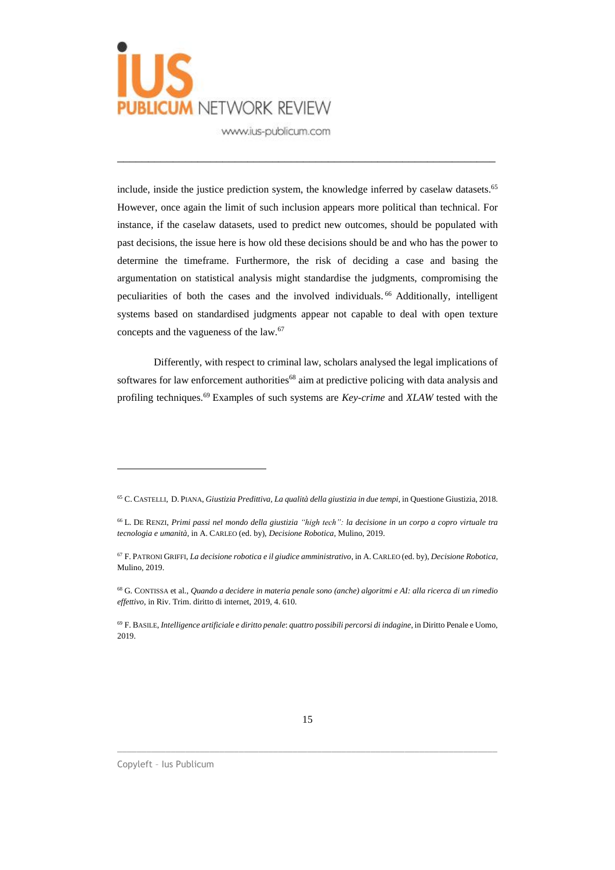

include, inside the justice prediction system, the knowledge inferred by caselaw datasets.<sup>65</sup> However, once again the limit of such inclusion appears more political than technical. For instance, if the caselaw datasets, used to predict new outcomes, should be populated with past decisions, the issue here is how old these decisions should be and who has the power to determine the timeframe. Furthermore, the risk of deciding a case and basing the argumentation on statistical analysis might standardise the judgments, compromising the peculiarities of both the cases and the involved individuals.<sup>66</sup> Additionally, intelligent systems based on standardised judgments appear not capable to deal with open texture concepts and the vagueness of the law.<sup>67</sup>

\_\_\_\_\_\_\_\_\_\_\_\_\_\_\_\_\_\_\_\_\_\_\_\_\_\_\_\_\_\_\_\_\_\_\_\_\_\_\_\_\_\_\_\_\_\_\_\_\_\_\_\_\_\_\_\_\_\_\_\_\_

Differently, with respect to criminal law, scholars analysed the legal implications of softwares for law enforcement authorities<sup>68</sup> aim at predictive policing with data analysis and profiling techniques.<sup>69</sup> Examples of such systems are *Key-crime* and *XLAW* tested with the

 $\_$  ,  $\_$  ,  $\_$  ,  $\_$  ,  $\_$  ,  $\_$  ,  $\_$  ,  $\_$  ,  $\_$  ,  $\_$  ,  $\_$  ,  $\_$  ,  $\_$  ,  $\_$  ,  $\_$  ,  $\_$  ,  $\_$  ,  $\_$  ,  $\_$  ,  $\_$  ,  $\_$  ,  $\_$  ,  $\_$  ,  $\_$  ,  $\_$  ,  $\_$  ,  $\_$  ,  $\_$  ,  $\_$  ,  $\_$  ,  $\_$  ,  $\_$  ,  $\_$  ,  $\_$  ,  $\_$  ,  $\_$  ,  $\_$  ,

<sup>65</sup> C. CASTELLI, D. PIANA, *Giustizia Predittiva, La qualità della giustizia in due tempi*, in Questione Giustizia, 2018.

<sup>&</sup>lt;sup>66</sup> L. DE RENZI, Primi passi nel mondo della giustizia "high tech": la decisione in un corpo a copro virtuale tra *tecnologia e umanità,* in A. CARLEO (ed. by), *Decisione Robotica,* Mulino, 2019.

<sup>67</sup> F. PATRONI GRIFFI, *La decisione robotica e il giudice amministrativo*, in A. CARLEO (ed. by), *Decisione Robotica,* Mulino, 2019.

<sup>&</sup>lt;sup>68</sup> G. CONTISSA et al., Quando a decidere in materia penale sono (anche) algoritmi e AI: alla ricerca di un rimedio *effettivo*, in Riv. Trim. diritto di internet, 2019, 4. 610.

<sup>69</sup> F. BASILE, *Intelligence artificiale e diritto penale*: *quattro possibili percorsi di indagine*, in Diritto Penale e Uomo, 2019.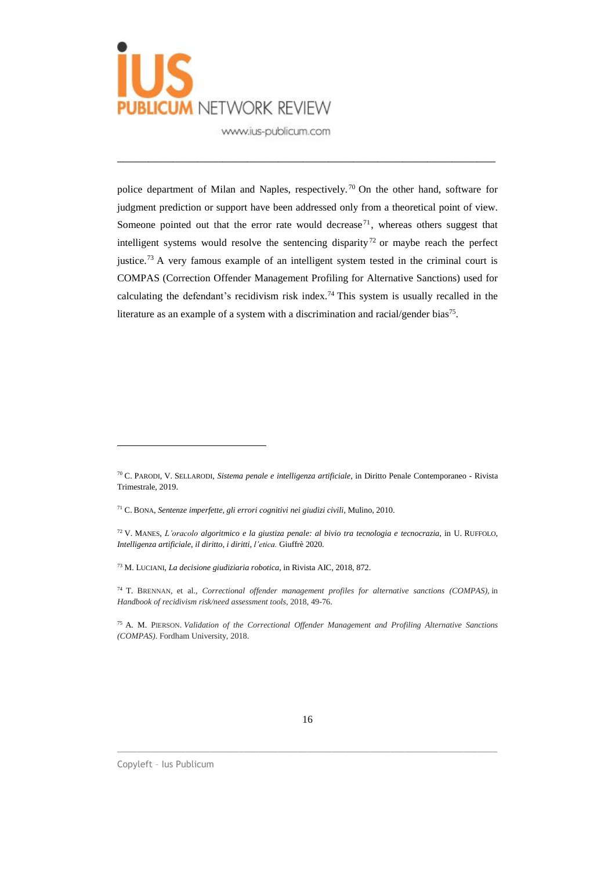

police department of Milan and Naples, respectively. <sup>70</sup> On the other hand, software for judgment prediction or support have been addressed only from a theoretical point of view. Someone pointed out that the error rate would decrease<sup>71</sup>, whereas others suggest that intelligent systems would resolve the sentencing disparity<sup>72</sup> or maybe reach the perfect justice.<sup>73</sup> A very famous example of an intelligent system tested in the criminal court is COMPAS (Correction Offender Management Profiling for Alternative Sanctions) used for calculating the defendant's recidivism risk index.<sup>74</sup> This system is usually recalled in the literature as an example of a system with a discrimination and racial/gender bias<sup>75</sup>.

\_\_\_\_\_\_\_\_\_\_\_\_\_\_\_\_\_\_\_\_\_\_\_\_\_\_\_\_\_\_\_\_\_\_\_\_\_\_\_\_\_\_\_\_\_\_\_\_\_\_\_\_\_\_\_\_\_\_\_\_\_

 $\_$  ,  $\_$  ,  $\_$  ,  $\_$  ,  $\_$  ,  $\_$  ,  $\_$  ,  $\_$  ,  $\_$  ,  $\_$  ,  $\_$  ,  $\_$  ,  $\_$  ,  $\_$  ,  $\_$  ,  $\_$  ,  $\_$  ,  $\_$  ,  $\_$  ,  $\_$  ,  $\_$  ,  $\_$  ,  $\_$  ,  $\_$  ,  $\_$  ,  $\_$  ,  $\_$  ,  $\_$  ,  $\_$  ,  $\_$  ,  $\_$  ,  $\_$  ,  $\_$  ,  $\_$  ,  $\_$  ,  $\_$  ,  $\_$  ,

<sup>70</sup> C. PARODI, V. SELLARODI, *Sistema penale e intelligenza artificiale*, in Diritto Penale Contemporaneo - Rivista Trimestrale, 2019.

<sup>71</sup> C. BONA, *Sentenze imperfette, gli errori cognitivi nei giudizi civili,* Mulino, 2010.

<sup>72</sup> V. MANES, *L'oracolo algoritmico e la giustiza penale: al bivio tra tecnologia e tecnocrazia*, in U. RUFFOLO, *Intelligenza artificiale, il diritto, i diritti, l'etica.* Giuffrè 2020.

<sup>73</sup> M. LUCIANI, *La decisione giudiziaria robotica,* in Rivista AIC, 2018, 872.

<sup>74</sup> T. BRENNAN, et al., *Correctional offender management profiles for alternative sanctions (COMPAS),* in *Handbook of recidivism risk/need assessment tools*, 2018, 49-76.

<sup>75</sup> A. M. PIERSON. *Validation of the Correctional Offender Management and Profiling Alternative Sanctions (COMPAS)*. Fordham University, 2018.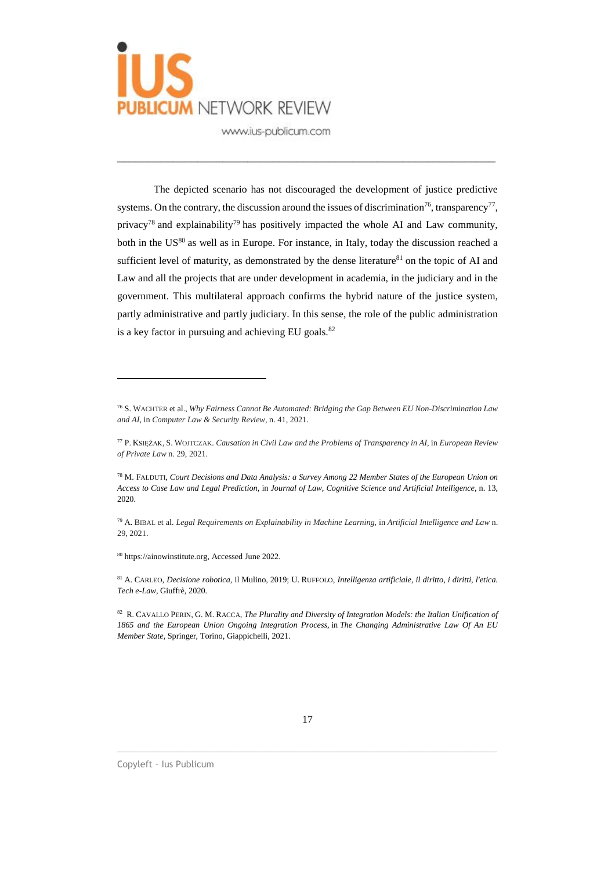

The depicted scenario has not discouraged the development of justice predictive systems. On the contrary, the discussion around the issues of discrimination<sup>76</sup>, transparency<sup>77</sup>, privacy<sup>78</sup> and explainability<sup>79</sup> has positively impacted the whole AI and Law community, both in the US<sup>80</sup> as well as in Europe. For instance, in Italy, today the discussion reached a sufficient level of maturity, as demonstrated by the dense literature $81$  on the topic of AI and Law and all the projects that are under development in academia, in the judiciary and in the government. This multilateral approach confirms the hybrid nature of the justice system, partly administrative and partly judiciary. In this sense, the role of the public administration is a key factor in pursuing and achieving EU goals.<sup>82</sup>

\_\_\_\_\_\_\_\_\_\_\_\_\_\_\_\_\_\_\_\_\_\_\_\_\_\_\_\_\_\_\_\_\_\_\_\_\_\_\_\_\_\_\_\_\_\_\_\_\_\_\_\_\_\_\_\_\_\_\_\_\_

<sup>80</sup> https://ainowinstitute.org, Accessed June 2022.

 $\overline{a}$ 

<sup>81</sup> A. CARLEO, *Decisione robotica,* il Mulino, 2019; U. RUFFOLO, *Intelligenza artificiale, il diritto, i diritti, l'etica. Tech e-Law,* Giuffrè*,* 2020*.*

<sup>82</sup> R. CAVALLO PERIN, G. M. RACCA, *The Plurality and Diversity of Integration Models: the Italian Unification of 1865 and the European Union Ongoing Integration Process*, in *The Changing Administrative Law Of An EU Member State*, Springer, Torino, Giappichelli, 2021.

 $\_$  ,  $\_$  ,  $\_$  ,  $\_$  ,  $\_$  ,  $\_$  ,  $\_$  ,  $\_$  ,  $\_$  ,  $\_$  ,  $\_$  ,  $\_$  ,  $\_$  ,  $\_$  ,  $\_$  ,  $\_$  ,  $\_$  ,  $\_$  ,  $\_$  ,  $\_$  ,  $\_$  ,  $\_$  ,  $\_$  ,  $\_$  ,  $\_$  ,  $\_$  ,  $\_$  ,  $\_$  ,  $\_$  ,  $\_$  ,  $\_$  ,  $\_$  ,  $\_$  ,  $\_$  ,  $\_$  ,  $\_$  ,  $\_$  ,

<sup>76</sup> S. WACHTER et al., *Why Fairness Cannot Be Automated: Bridging the Gap Between EU Non-Discrimination Law and AI*, in *Computer Law & Security Review,* n. 41, 2021.

<sup>77</sup> P. KSIĘŻAK, S. WOJTCZAK. *Causation in Civil Law and the Problems of Transparency in AI*, in *European Review of Private Law* n. 29, 2021.

<sup>78</sup> M. FALDUTI, *Court Decisions and Data Analysis: a Survey Among 22 Member States of the European Union on Access to Case Law and Legal Prediction*, in *Journal of Law, Cognitive Science and Artificial Intelligence*, n. 13, 2020.

<sup>79</sup> A. BIBAL et al. *Legal Requirements on Explainability in Machine Learning*, in *Artificial Intelligence and Law* n. 29, 2021.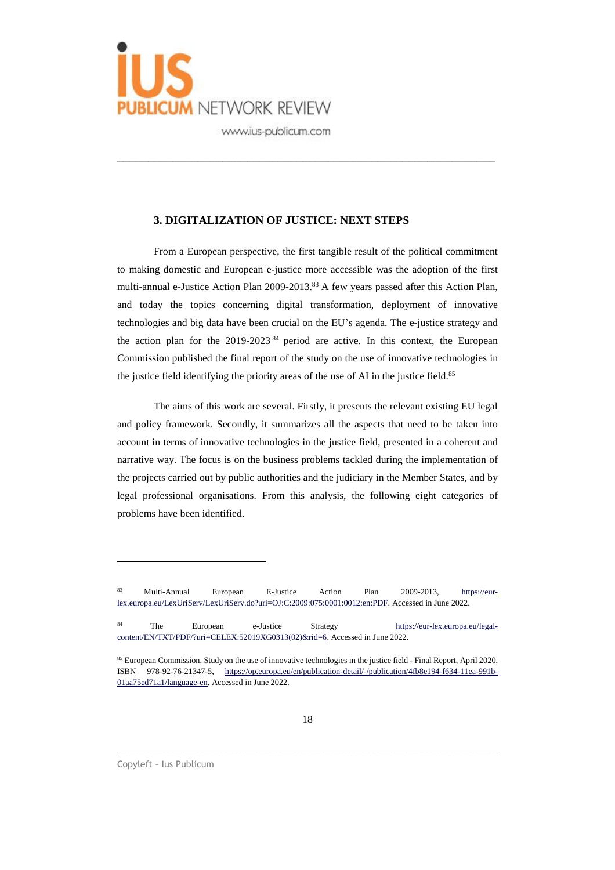

#### **3. DIGITALIZATION OF JUSTICE: NEXT STEPS**

From a European perspective, the first tangible result of the political commitment to making domestic and European e-justice more accessible was the adoption of the first multi-annual e-Justice Action Plan 2009-2013.<sup>83</sup> A few years passed after this Action Plan, and today the topics concerning digital transformation, deployment of innovative technologies and big data have been crucial on the EU's agenda. The e-justice strategy and the action plan for the 2019-2023 <sup>84</sup> period are active. In this context, the European Commission published the final report of the study on the use of innovative technologies in the justice field identifying the priority areas of the use of AI in the justice field. 85

\_\_\_\_\_\_\_\_\_\_\_\_\_\_\_\_\_\_\_\_\_\_\_\_\_\_\_\_\_\_\_\_\_\_\_\_\_\_\_\_\_\_\_\_\_\_\_\_\_\_\_\_\_\_\_\_\_\_\_\_\_

The aims of this work are several. Firstly, it presents the relevant existing EU legal and policy framework. Secondly, it summarizes all the aspects that need to be taken into account in terms of innovative technologies in the justice field, presented in a coherent and narrative way. The focus is on the business problems tackled during the implementation of the projects carried out by public authorities and the judiciary in the Member States, and by legal professional organisations. From this analysis, the following eight categories of problems have been identified.

 $\_$  ,  $\_$  ,  $\_$  ,  $\_$  ,  $\_$  ,  $\_$  ,  $\_$  ,  $\_$  ,  $\_$  ,  $\_$  ,  $\_$  ,  $\_$  ,  $\_$  ,  $\_$  ,  $\_$  ,  $\_$  ,  $\_$  ,  $\_$  ,  $\_$  ,  $\_$  ,  $\_$  ,  $\_$  ,  $\_$  ,  $\_$  ,  $\_$  ,  $\_$  ,  $\_$  ,  $\_$  ,  $\_$  ,  $\_$  ,  $\_$  ,  $\_$  ,  $\_$  ,  $\_$  ,  $\_$  ,  $\_$  ,  $\_$  ,

<sup>83</sup> Multi-Annual European E-Justice Action Plan 2009-2013, [https://eur](https://eur-lex.europa.eu/LexUriServ/LexUriServ.do?uri=OJ:C:2009:075:0001:0012:en:PDF)[lex.europa.eu/LexUriServ/LexUriServ.do?uri=OJ:C:2009:075:0001:0012:en:PDF.](https://eur-lex.europa.eu/LexUriServ/LexUriServ.do?uri=OJ:C:2009:075:0001:0012:en:PDF) Accessed in June 2022.

<sup>84</sup> The European e-Justice Strategy [https://eur-lex.europa.eu/legal](https://eur-lex.europa.eu/legal-content/EN/TXT/PDF/?uri=CELEX:52019XG0313(02)&rid=6)[content/EN/TXT/PDF/?uri=CELEX:52019XG0313\(02\)&rid=6.](https://eur-lex.europa.eu/legal-content/EN/TXT/PDF/?uri=CELEX:52019XG0313(02)&rid=6) Accessed in June 2022.

<sup>85</sup> European Commission, Study on the use of innovative technologies in the justice field - Final Report, April 2020, ISBN 978-92-76-21347-5, [https://op.europa.eu/en/publication-detail/-/publication/4fb8e194-f634-11ea-991b-](https://op.europa.eu/en/publication-detail/-/publication/4fb8e194-f634-11ea-991b-01aa75ed71a1/language-en)[01aa75ed71a1/language-en.](https://op.europa.eu/en/publication-detail/-/publication/4fb8e194-f634-11ea-991b-01aa75ed71a1/language-en) Accessed in June 2022.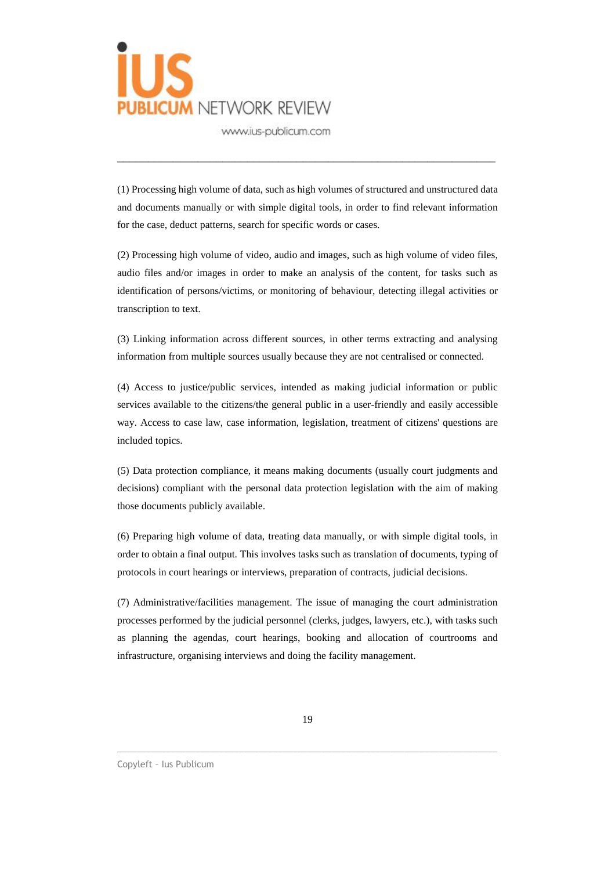

(1) Processing high volume of data, such as high volumes of structured and unstructured data and documents manually or with simple digital tools, in order to find relevant information for the case, deduct patterns, search for specific words or cases.

\_\_\_\_\_\_\_\_\_\_\_\_\_\_\_\_\_\_\_\_\_\_\_\_\_\_\_\_\_\_\_\_\_\_\_\_\_\_\_\_\_\_\_\_\_\_\_\_\_\_\_\_\_\_\_\_\_\_\_\_\_

(2) Processing high volume of video, audio and images, such as high volume of video files, audio files and/or images in order to make an analysis of the content, for tasks such as identification of persons/victims, or monitoring of behaviour, detecting illegal activities or transcription to text.

(3) Linking information across different sources, in other terms extracting and analysing information from multiple sources usually because they are not centralised or connected.

(4) Access to justice/public services, intended as making judicial information or public services available to the citizens/the general public in a user-friendly and easily accessible way. Access to case law, case information, legislation, treatment of citizens' questions are included topics.

(5) Data protection compliance, it means making documents (usually court judgments and decisions) compliant with the personal data protection legislation with the aim of making those documents publicly available.

(6) Preparing high volume of data, treating data manually, or with simple digital tools, in order to obtain a final output. This involves tasks such as translation of documents, typing of protocols in court hearings or interviews, preparation of contracts, judicial decisions.

(7) Administrative/facilities management. The issue of managing the court administration processes performed by the judicial personnel (clerks, judges, lawyers, etc.), with tasks such as planning the agendas, court hearings, booking and allocation of courtrooms and infrastructure, organising interviews and doing the facility management.

\_\_\_\_\_\_\_\_\_\_\_\_\_\_\_\_\_\_\_\_\_\_\_\_\_\_\_\_\_\_\_\_\_\_\_\_\_\_\_\_\_\_\_\_\_\_\_\_\_\_\_\_\_\_\_\_\_\_\_\_\_\_\_\_\_\_\_\_\_\_\_\_\_\_\_\_\_\_

#### Copyleft – Ius Publicum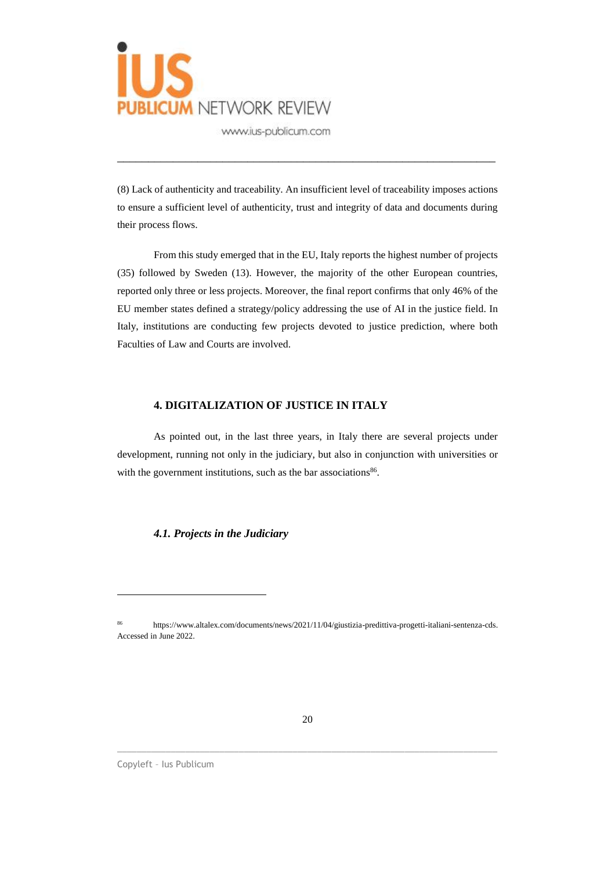

(8) Lack of authenticity and traceability. An insufficient level of traceability imposes actions to ensure a sufficient level of authenticity, trust and integrity of data and documents during their process flows.

\_\_\_\_\_\_\_\_\_\_\_\_\_\_\_\_\_\_\_\_\_\_\_\_\_\_\_\_\_\_\_\_\_\_\_\_\_\_\_\_\_\_\_\_\_\_\_\_\_\_\_\_\_\_\_\_\_\_\_\_\_

From this study emerged that in the EU, Italy reports the highest number of projects (35) followed by Sweden (13). However, the majority of the other European countries, reported only three or less projects. Moreover, the final report confirms that only 46% of the EU member states defined a strategy/policy addressing the use of AI in the justice field. In Italy, institutions are conducting few projects devoted to justice prediction, where both Faculties of Law and Courts are involved.

#### **4. DIGITALIZATION OF JUSTICE IN ITALY**

As pointed out, in the last three years, in Italy there are several projects under development, running not only in the judiciary, but also in conjunction with universities or with the government institutions, such as the bar associations<sup>86</sup>.

*4.1. Projects in the Judiciary*

\_\_\_\_\_\_\_\_\_\_\_\_\_\_\_\_\_\_\_\_\_\_\_\_\_\_\_\_\_\_\_\_\_\_\_\_\_\_\_\_\_\_\_\_\_\_\_\_\_\_\_\_\_\_\_\_\_\_\_\_\_\_\_\_\_\_\_\_\_\_\_\_\_\_\_\_\_\_

Copyleft – Ius Publicum

<sup>86</sup> https://www.altalex.com/documents/news/2021/11/04/giustizia-predittiva-progetti-italiani-sentenza-cds. Accessed in June 2022.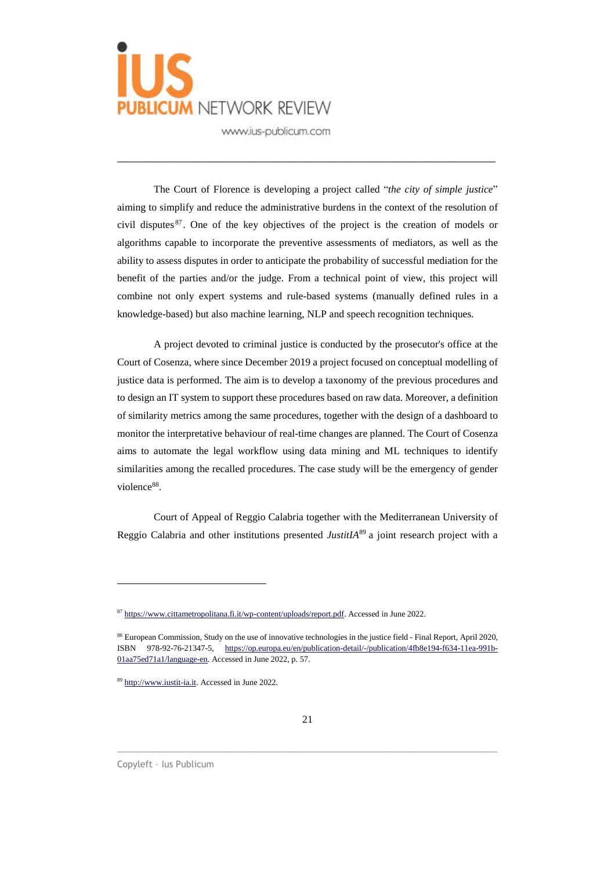

The Court of Florence is developing a project called "*the city of simple justice*" aiming to simplify and reduce the administrative burdens in the context of the resolution of civil disputes <sup>87</sup> . One of the key objectives of the project is the creation of models or algorithms capable to incorporate the preventive assessments of mediators, as well as the ability to assess disputes in order to anticipate the probability of successful mediation for the benefit of the parties and/or the judge. From a technical point of view, this project will combine not only expert systems and rule-based systems (manually defined rules in a knowledge-based) but also machine learning, NLP and speech recognition techniques.

\_\_\_\_\_\_\_\_\_\_\_\_\_\_\_\_\_\_\_\_\_\_\_\_\_\_\_\_\_\_\_\_\_\_\_\_\_\_\_\_\_\_\_\_\_\_\_\_\_\_\_\_\_\_\_\_\_\_\_\_\_

A project devoted to criminal justice is conducted by the prosecutor's office at the Court of Cosenza, where since December 2019 a project focused on conceptual modelling of justice data is performed. The aim is to develop a taxonomy of the previous procedures and to design an IT system to support these procedures based on raw data. Moreover, a definition of similarity metrics among the same procedures, together with the design of a dashboard to monitor the interpretative behaviour of real-time changes are planned. The Court of Cosenza aims to automate the legal workflow using data mining and ML techniques to identify similarities among the recalled procedures. The case study will be the emergency of gender violence<sup>88</sup>.

Court of Appeal of Reggio Calabria together with the Mediterranean University of Reggio Calabria and other institutions presented *JustitIA*<sup>89</sup> a joint research project with a

\_\_\_\_\_\_\_\_\_\_\_\_\_\_\_\_\_\_\_\_\_\_\_\_\_\_\_\_\_\_\_\_\_\_\_\_\_\_\_\_\_\_\_\_\_\_\_\_\_\_\_\_\_\_\_\_\_\_\_\_\_\_\_\_\_\_\_\_\_\_\_\_\_\_\_\_\_\_

<sup>87</sup> [https://www.cittametropolitana.fi.it/wp-content/uploads/report.pdf.](https://www.cittametropolitana.fi.it/wp-content/uploads/report.pdf) Accessed in June 2022.

<sup>&</sup>lt;sup>88</sup> European Commission, Study on the use of innovative technologies in the justice field - Final Report, April 2020, ISBN 978-92-76-21347-5, [https://op.europa.eu/en/publication-detail/-/publication/4fb8e194-f634-11ea-991b-](https://op.europa.eu/en/publication-detail/-/publication/4fb8e194-f634-11ea-991b-01aa75ed71a1/language-en)[01aa75ed71a1/language-en.](https://op.europa.eu/en/publication-detail/-/publication/4fb8e194-f634-11ea-991b-01aa75ed71a1/language-en) Accessed in June 2022, p. 57.

<sup>89</sup> [http://www.iustit-ia.it.](http://www.iustit-ia.it/) Accessed in June 2022.

Copyleft – Ius Publicum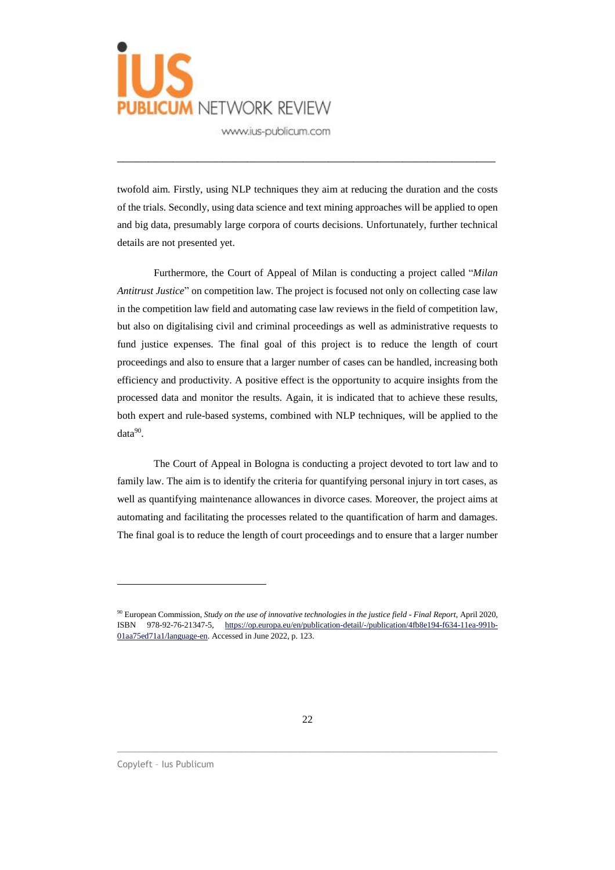

twofold aim. Firstly, using NLP techniques they aim at reducing the duration and the costs of the trials. Secondly, using data science and text mining approaches will be applied to open and big data, presumably large corpora of courts decisions. Unfortunately, further technical details are not presented yet.

\_\_\_\_\_\_\_\_\_\_\_\_\_\_\_\_\_\_\_\_\_\_\_\_\_\_\_\_\_\_\_\_\_\_\_\_\_\_\_\_\_\_\_\_\_\_\_\_\_\_\_\_\_\_\_\_\_\_\_\_\_

Furthermore, the Court of Appeal of Milan is conducting a project called "*Milan Antitrust Justice*" on competition law. The project is focused not only on collecting case law in the competition law field and automating case law reviews in the field of competition law, but also on digitalising civil and criminal proceedings as well as administrative requests to fund justice expenses. The final goal of this project is to reduce the length of court proceedings and also to ensure that a larger number of cases can be handled, increasing both efficiency and productivity. A positive effect is the opportunity to acquire insights from the processed data and monitor the results. Again, it is indicated that to achieve these results, both expert and rule-based systems, combined with NLP techniques, will be applied to the data<sup>90</sup>.

The Court of Appeal in Bologna is conducting a project devoted to tort law and to family law. The aim is to identify the criteria for quantifying personal injury in tort cases, as well as quantifying maintenance allowances in divorce cases. Moreover, the project aims at automating and facilitating the processes related to the quantification of harm and damages. The final goal is to reduce the length of court proceedings and to ensure that a larger number

\_\_\_\_\_\_\_\_\_\_\_\_\_\_\_\_\_\_\_\_\_\_\_\_\_\_\_\_\_\_\_\_\_\_\_\_\_\_\_\_\_\_\_\_\_\_\_\_\_\_\_\_\_\_\_\_\_\_\_\_\_\_\_\_\_\_\_\_\_\_\_\_\_\_\_\_\_\_

Copyleft – Ius Publicum

<sup>90</sup> European Commission, *Study on the use of innovative technologies in the justice field - Final Report*, April 2020, ISBN 978-92-76-21347-5, [https://op.europa.eu/en/publication-detail/-/publication/4fb8e194-f634-11ea-991b-](https://op.europa.eu/en/publication-detail/-/publication/4fb8e194-f634-11ea-991b-01aa75ed71a1/language-en)[01aa75ed71a1/language-en.](https://op.europa.eu/en/publication-detail/-/publication/4fb8e194-f634-11ea-991b-01aa75ed71a1/language-en) Accessed in June 2022, p. 123.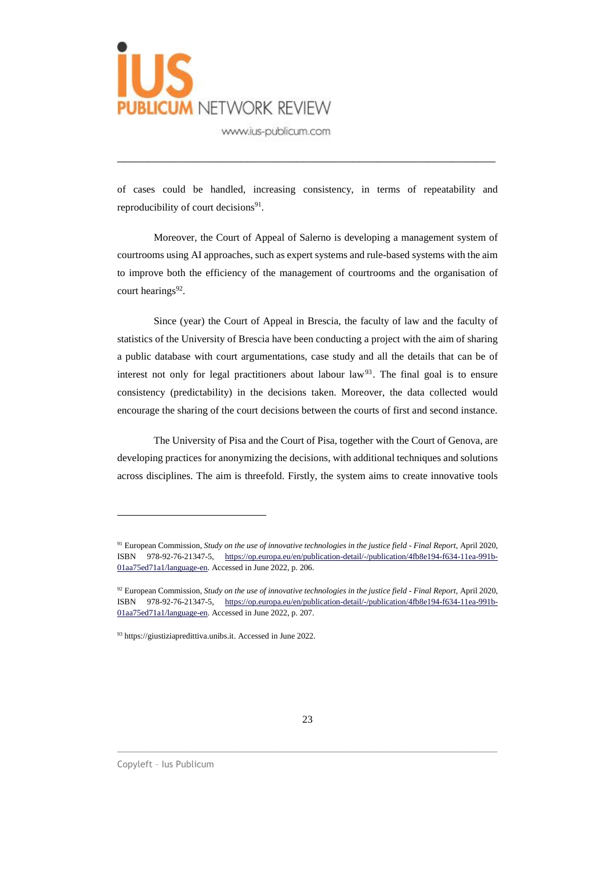

of cases could be handled, increasing consistency, in terms of repeatability and reproducibility of court decisions<sup>91</sup>.

\_\_\_\_\_\_\_\_\_\_\_\_\_\_\_\_\_\_\_\_\_\_\_\_\_\_\_\_\_\_\_\_\_\_\_\_\_\_\_\_\_\_\_\_\_\_\_\_\_\_\_\_\_\_\_\_\_\_\_\_\_

Moreover, the Court of Appeal of Salerno is developing a management system of courtrooms using AI approaches, such as expert systems and rule-based systems with the aim to improve both the efficiency of the management of courtrooms and the organisation of court hearings<sup>92</sup>.

Since (year) the Court of Appeal in Brescia, the faculty of law and the faculty of statistics of the University of Brescia have been conducting a project with the aim of sharing a public database with court argumentations, case study and all the details that can be of interest not only for legal practitioners about labour law<sup>93</sup>. The final goal is to ensure consistency (predictability) in the decisions taken. Moreover, the data collected would encourage the sharing of the court decisions between the courts of first and second instance.

The University of Pisa and the Court of Pisa, together with the Court of Genova, are developing practices for anonymizing the decisions, with additional techniques and solutions across disciplines. The aim is threefold. Firstly, the system aims to create innovative tools

\_\_\_\_\_\_\_\_\_\_\_\_\_\_\_\_\_\_\_\_\_\_\_\_\_\_\_\_\_\_\_\_\_\_\_\_\_\_\_\_\_\_\_\_\_\_\_\_\_\_\_\_\_\_\_\_\_\_\_\_\_\_\_\_\_\_\_\_\_\_\_\_\_\_\_\_\_\_

<sup>91</sup> European Commission, *Study on the use of innovative technologies in the justice field - Final Report*, April 2020, ISBN 978-92-76-21347-5, [https://op.europa.eu/en/publication-detail/-/publication/4fb8e194-f634-11ea-991b-](https://op.europa.eu/en/publication-detail/-/publication/4fb8e194-f634-11ea-991b-01aa75ed71a1/language-en)[01aa75ed71a1/language-en.](https://op.europa.eu/en/publication-detail/-/publication/4fb8e194-f634-11ea-991b-01aa75ed71a1/language-en) Accessed in June 2022, p. 206.

<sup>92</sup> European Commission, *Study on the use of innovative technologies in the justice field - Final Report*, April 2020, ISBN 978-92-76-21347-5, [https://op.europa.eu/en/publication-detail/-/publication/4fb8e194-f634-11ea-991b-](https://op.europa.eu/en/publication-detail/-/publication/4fb8e194-f634-11ea-991b-01aa75ed71a1/language-en)[01aa75ed71a1/language-en.](https://op.europa.eu/en/publication-detail/-/publication/4fb8e194-f634-11ea-991b-01aa75ed71a1/language-en) Accessed in June 2022, p. 207.

<sup>93</sup> https://giustiziapredittiva.unibs.it. Accessed in June 2022.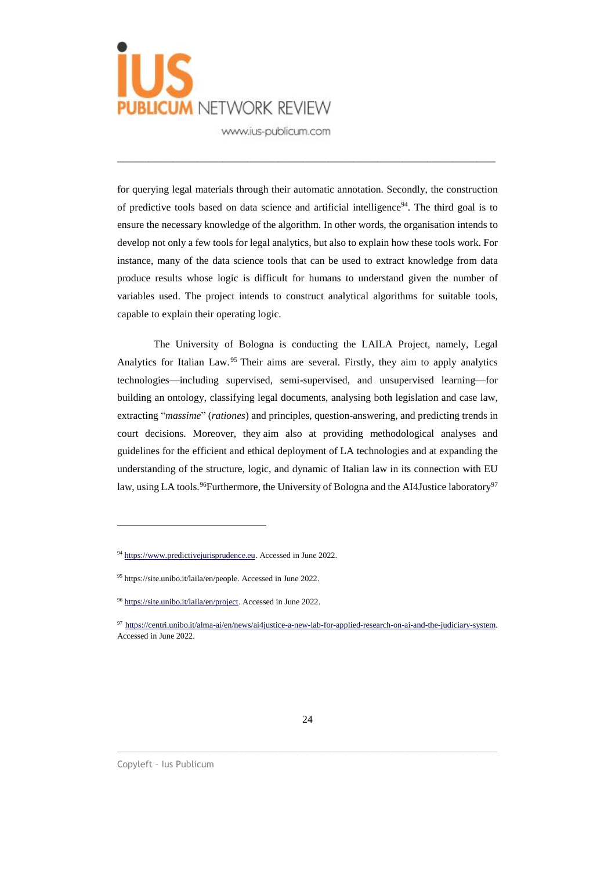

for querying legal materials through their automatic annotation. Secondly, the construction of predictive tools based on data science and artificial intelligence<sup>94</sup>. The third goal is to ensure the necessary knowledge of the algorithm. In other words, the organisation intends to develop not only a few tools for legal analytics, but also to explain how these tools work. For instance, many of the data science tools that can be used to extract knowledge from data produce results whose logic is difficult for humans to understand given the number of variables used. The project intends to construct analytical algorithms for suitable tools, capable to explain their operating logic.

\_\_\_\_\_\_\_\_\_\_\_\_\_\_\_\_\_\_\_\_\_\_\_\_\_\_\_\_\_\_\_\_\_\_\_\_\_\_\_\_\_\_\_\_\_\_\_\_\_\_\_\_\_\_\_\_\_\_\_\_\_

The University of Bologna is conducting the LAILA Project, namely, Legal Analytics for Italian Law.<sup>95</sup> Their aims are several. Firstly, they aim to apply analytics technologies—including supervised, semi-supervised, and unsupervised learning—for building an ontology, classifying legal documents, analysing both legislation and case law, extracting "*massime*" (*rationes*) and principles, question-answering, and predicting trends in court decisions. Moreover, they aim also at providing methodological analyses and guidelines for the efficient and ethical deployment of LA technologies and at expanding the understanding of the structure, logic, and dynamic of Italian law in its connection with EU law, using LA tools.<sup>96</sup>Furthermore, the University of Bologna and the AI4Justice laboratory<sup>97</sup>

\_\_\_\_\_\_\_\_\_\_\_\_\_\_\_\_\_\_\_\_\_\_\_\_\_\_\_\_\_\_\_\_\_\_\_\_\_\_\_\_\_\_\_\_\_\_\_\_\_\_\_\_\_\_\_\_\_\_\_\_\_\_\_\_\_\_\_\_\_\_\_\_\_\_\_\_\_\_

<sup>94</sup> [https://www.predictivejurisprudence.eu.](https://www.predictivejurisprudence.eu/) Accessed in June 2022.

<sup>95</sup> https://site.unibo.it/laila/en/people. Accessed in June 2022.

<sup>96</sup> [https://site.unibo.it/laila/en/project.](https://site.unibo.it/laila/en/project) Accessed in June 2022.

<sup>97</sup> [https://centri.unibo.it/alma-ai/en/news/ai4justice-a-new-lab-for-applied-research-on-ai-and-the-judiciary-system.](https://centri.unibo.it/alma-ai/en/news/ai4justice-a-new-lab-for-applied-research-on-ai-and-the-judiciary-system) Accessed in June 2022.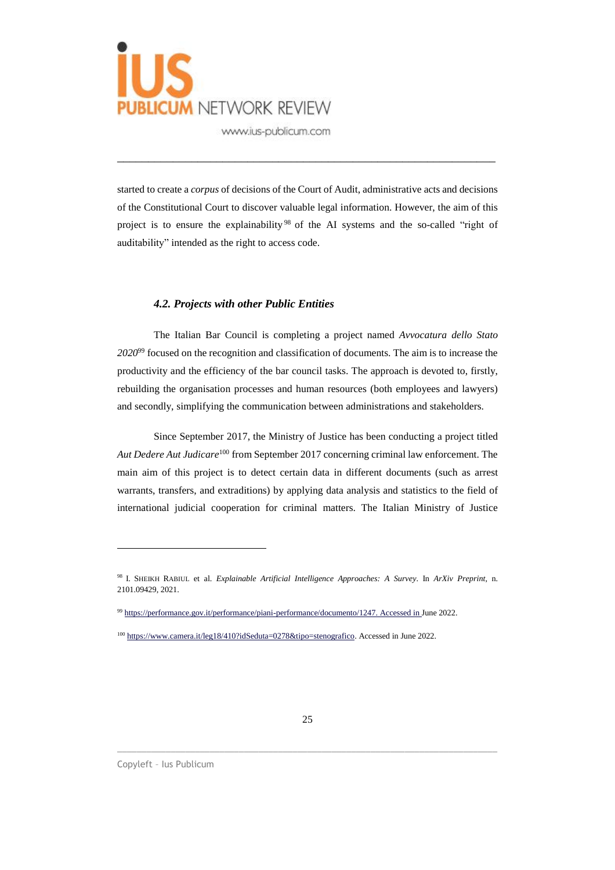

started to create a *corpus* of decisions of the Court of Audit, administrative acts and decisions of the Constitutional Court to discover valuable legal information. However, the aim of this project is to ensure the explainability<sup>98</sup> of the AI systems and the so-called "right of auditability" intended as the right to access code.

\_\_\_\_\_\_\_\_\_\_\_\_\_\_\_\_\_\_\_\_\_\_\_\_\_\_\_\_\_\_\_\_\_\_\_\_\_\_\_\_\_\_\_\_\_\_\_\_\_\_\_\_\_\_\_\_\_\_\_\_\_

#### *4.2. Projects with other Public Entities*

The Italian Bar Council is completing a project named *Avvocatura dello Stato 2020*<sup>99</sup> focused on the recognition and classification of documents. The aim is to increase the productivity and the efficiency of the bar council tasks. The approach is devoted to, firstly, rebuilding the organisation processes and human resources (both employees and lawyers) and secondly, simplifying the communication between administrations and stakeholders.

Since September 2017, the Ministry of Justice has been conducting a project titled *Aut Dedere Aut Judicare*<sup>100</sup> from September 2017 concerning criminal law enforcement. The main aim of this project is to detect certain data in different documents (such as arrest warrants, transfers, and extraditions) by applying data analysis and statistics to the field of international judicial cooperation for criminal matters. The Italian Ministry of Justice

\_\_\_\_\_\_\_\_\_\_\_\_\_\_\_\_\_\_\_\_\_\_\_\_\_\_\_\_\_\_\_\_\_\_\_\_\_\_\_\_\_\_\_\_\_\_\_\_\_\_\_\_\_\_\_\_\_\_\_\_\_\_\_\_\_\_\_\_\_\_\_\_\_\_\_\_\_\_

<sup>98</sup> I. SHEIKH RABIUL et al. *Explainable Artificial Intelligence Approaches: A Survey*. In *ArXiv Preprint,* n. 2101.09429, 2021.

<sup>99</sup> [https://performance.gov.it/performance/piani-performance/documento/1247.](https://performance.gov.it/performance/piani-performance/documento/1247.%2520Accessed%2520in%2520June%25202021) Accessed in June 2022.

<sup>&</sup>lt;sup>100</sup> [https://www.camera.it/leg18/410?idSeduta=0278&tipo=stenografico.](https://www.camera.it/leg18/410?idSeduta=0278&tipo=stenografico) Accessed in June 2022.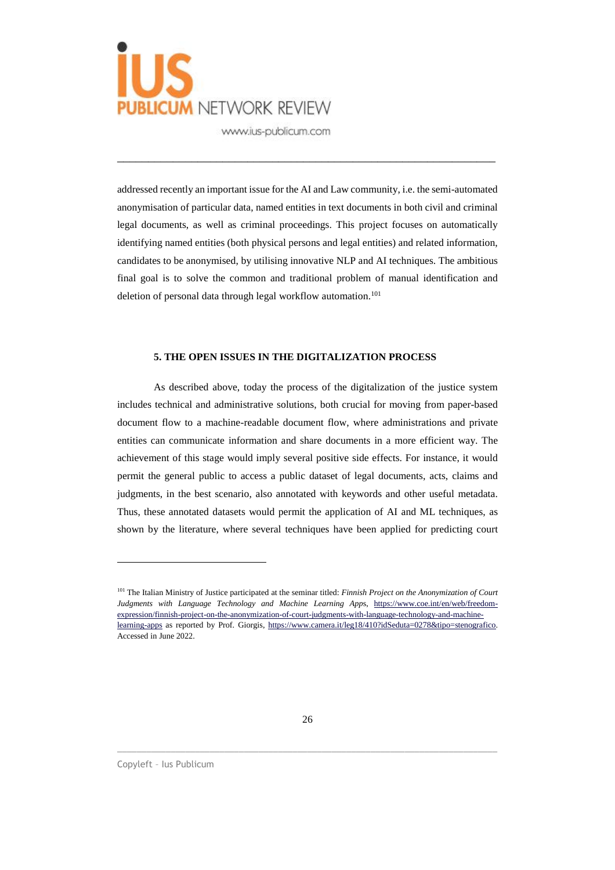

addressed recently an important issue for the AI and Law community, i.e. the semi-automated anonymisation of particular data, named entities in text documents in both civil and criminal legal documents, as well as criminal proceedings. This project focuses on automatically identifying named entities (both physical persons and legal entities) and related information, candidates to be anonymised, by utilising innovative NLP and AI techniques. The ambitious final goal is to solve the common and traditional problem of manual identification and deletion of personal data through legal workflow automation.<sup>101</sup>

\_\_\_\_\_\_\_\_\_\_\_\_\_\_\_\_\_\_\_\_\_\_\_\_\_\_\_\_\_\_\_\_\_\_\_\_\_\_\_\_\_\_\_\_\_\_\_\_\_\_\_\_\_\_\_\_\_\_\_\_\_

#### **5. THE OPEN ISSUES IN THE DIGITALIZATION PROCESS**

As described above, today the process of the digitalization of the justice system includes technical and administrative solutions, both crucial for moving from paper-based document flow to a machine-readable document flow, where administrations and private entities can communicate information and share documents in a more efficient way. The achievement of this stage would imply several positive side effects. For instance, it would permit the general public to access a public dataset of legal documents, acts, claims and judgments, in the best scenario, also annotated with keywords and other useful metadata. Thus, these annotated datasets would permit the application of AI and ML techniques, as shown by the literature, where several techniques have been applied for predicting court

\_\_\_\_\_\_\_\_\_\_\_\_\_\_\_\_\_\_\_\_\_\_\_\_\_\_\_\_\_\_\_\_\_\_\_\_\_\_\_\_\_\_\_\_\_\_\_\_\_\_\_\_\_\_\_\_\_\_\_\_\_\_\_\_\_\_\_\_\_\_\_\_\_\_\_\_\_\_

Copyleft – Ius Publicum

<sup>101</sup> The Italian Ministry of Justice participated at the seminar titled: *Finnish Project on the Anonymization of Court Judgments with Language Technology and Machine Learning App*s, [https://www.coe.int/en/web/freedom](https://www.coe.int/en/web/freedom-expression/finnish-project-on-the-anonymization-of-court-judgments-with-language-technology-and-machine-learning-apps)[expression/finnish-project-on-the-anonymization-of-court-judgments-with-language-technology-and-machine](https://www.coe.int/en/web/freedom-expression/finnish-project-on-the-anonymization-of-court-judgments-with-language-technology-and-machine-learning-apps)[learning-apps](https://www.coe.int/en/web/freedom-expression/finnish-project-on-the-anonymization-of-court-judgments-with-language-technology-and-machine-learning-apps) as reported by Prof. Giorgis, [https://www.camera.it/leg18/410?idSeduta=0278&tipo=stenografico.](https://www.camera.it/leg18/410?idSeduta=0278&tipo=stenografico) Accessed in June 2022.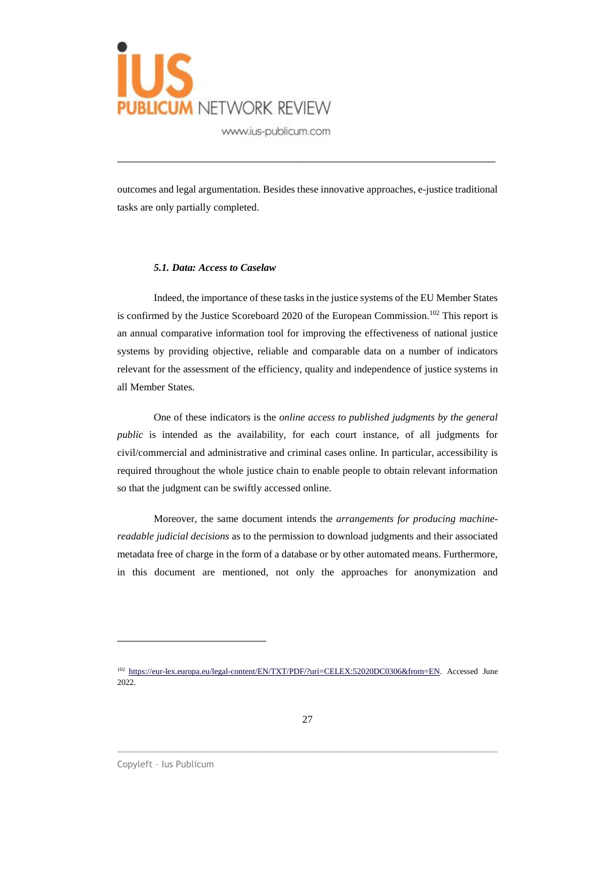

outcomes and legal argumentation. Besides these innovative approaches, e-justice traditional tasks are only partially completed.

\_\_\_\_\_\_\_\_\_\_\_\_\_\_\_\_\_\_\_\_\_\_\_\_\_\_\_\_\_\_\_\_\_\_\_\_\_\_\_\_\_\_\_\_\_\_\_\_\_\_\_\_\_\_\_\_\_\_\_\_\_

#### *5.1. Data: Access to Caselaw*

Indeed, the importance of these tasks in the justice systems of the EU Member States is confirmed by the Justice Scoreboard 2020 of the European Commission.<sup>102</sup> This report is an annual comparative information tool for improving the effectiveness of national justice systems by providing objective, reliable and comparable data on a number of indicators relevant for the assessment of the efficiency, quality and independence of justice systems in all Member States.

One of these indicators is the *online access to published judgments by the general public* is intended as the availability, for each court instance, of all judgments for civil/commercial and administrative and criminal cases online. In particular, accessibility is required throughout the whole justice chain to enable people to obtain relevant information so that the judgment can be swiftly accessed online.

Moreover, the same document intends the *arrangements for producing machinereadable judicial decisions* as to the permission to download judgments and their associated metadata free of charge in the form of a database or by other automated means. Furthermore, in this document are mentioned, not only the approaches for anonymization and

\_\_\_\_\_\_\_\_\_\_\_\_\_\_\_\_\_\_\_\_\_\_\_\_\_\_\_\_\_\_\_\_\_\_\_\_\_\_\_\_\_\_\_\_\_\_\_\_\_\_\_\_\_\_\_\_\_\_\_\_\_\_\_\_\_\_\_\_\_\_\_\_\_\_\_\_\_\_

Copyleft – Ius Publicum

<sup>102</sup> [https://eur-lex.europa.eu/legal-content/EN/TXT/PDF/?uri=CELEX:52020DC0306&from=EN.](https://eur-lex.europa.eu/legal-content/EN/TXT/PDF/?uri=CELEX:52020DC0306&from=EN) Accessed June 2022.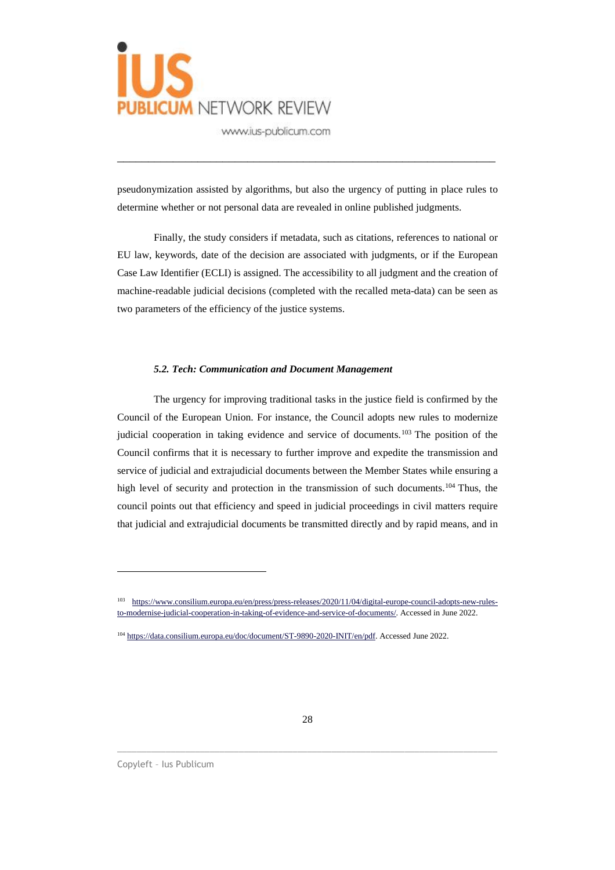

pseudonymization assisted by algorithms, but also the urgency of putting in place rules to determine whether or not personal data are revealed in online published judgments.

\_\_\_\_\_\_\_\_\_\_\_\_\_\_\_\_\_\_\_\_\_\_\_\_\_\_\_\_\_\_\_\_\_\_\_\_\_\_\_\_\_\_\_\_\_\_\_\_\_\_\_\_\_\_\_\_\_\_\_\_\_

Finally, the study considers if metadata, such as citations, references to national or EU law, keywords, date of the decision are associated with judgments, or if the European Case Law Identifier (ECLI) is assigned. The accessibility to all judgment and the creation of machine-readable judicial decisions (completed with the recalled meta-data) can be seen as two parameters of the efficiency of the justice systems.

### *5.2. Tech: Communication and Document Management*

The urgency for improving traditional tasks in the justice field is confirmed by the Council of the European Union. For instance, the Council adopts new rules to modernize judicial cooperation in taking evidence and service of documents.<sup>103</sup> The position of the Council confirms that it is necessary to further improve and expedite the transmission and service of judicial and extrajudicial documents between the Member States while ensuring a high level of security and protection in the transmission of such documents.<sup>104</sup> Thus, the council points out that efficiency and speed in judicial proceedings in civil matters require that judicial and extrajudicial documents be transmitted directly and by rapid means, and in

\_\_\_\_\_\_\_\_\_\_\_\_\_\_\_\_\_\_\_\_\_\_\_\_\_\_\_\_\_\_\_\_\_\_\_\_\_\_\_\_\_\_\_\_\_\_\_\_\_\_\_\_\_\_\_\_\_\_\_\_\_\_\_\_\_\_\_\_\_\_\_\_\_\_\_\_\_\_

<sup>103</sup> [https://www.consilium.europa.eu/en/press/press-releases/2020/11/04/digital-europe-council-adopts-new-rules](https://www.consilium.europa.eu/en/press/press-releases/2020/11/04/digital-europe-council-adopts-new-rules-to-modernise-judicial-cooperation-in-taking-of-evidence-and-service-of-documents/)[to-modernise-judicial-cooperation-in-taking-of-evidence-and-service-of-documents/.](https://www.consilium.europa.eu/en/press/press-releases/2020/11/04/digital-europe-council-adopts-new-rules-to-modernise-judicial-cooperation-in-taking-of-evidence-and-service-of-documents/) Accessed in June 2022.

<sup>&</sup>lt;sup>104</sup> [https://data.consilium.europa.eu/doc/document/ST-9890-2020-INIT/en/pdf.](https://data.consilium.europa.eu/doc/document/ST-9890-2020-INIT/en/pdf) Accessed June 2022.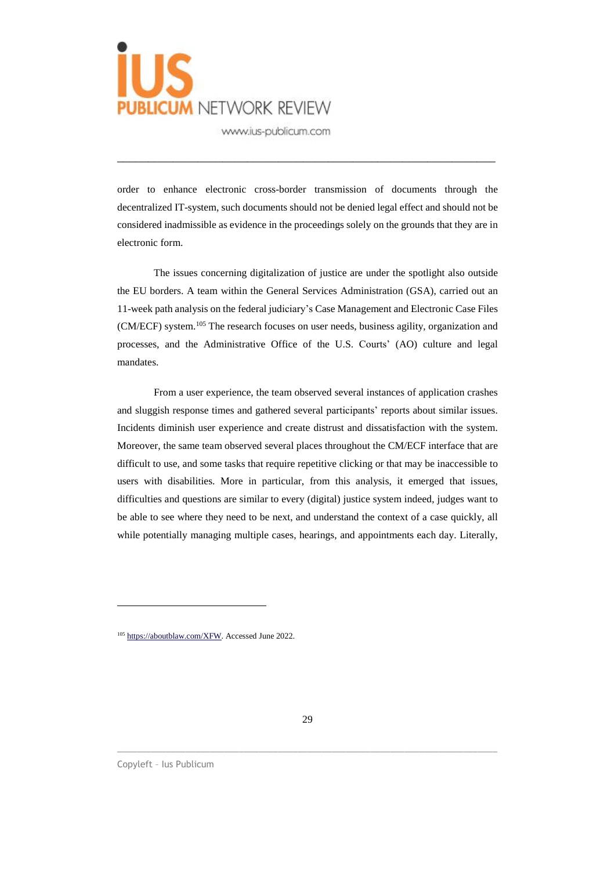

order to enhance electronic cross-border transmission of documents through the decentralized IT-system, such documents should not be denied legal effect and should not be considered inadmissible as evidence in the proceedings solely on the grounds that they are in electronic form.

\_\_\_\_\_\_\_\_\_\_\_\_\_\_\_\_\_\_\_\_\_\_\_\_\_\_\_\_\_\_\_\_\_\_\_\_\_\_\_\_\_\_\_\_\_\_\_\_\_\_\_\_\_\_\_\_\_\_\_\_\_

The issues concerning digitalization of justice are under the spotlight also outside the EU borders. A team within the General Services Administration (GSA), carried out an 11-week path analysis on the federal judiciary's Case Management and Electronic Case Files (CM/ECF) system.<sup>105</sup> The research focuses on user needs, business agility, organization and processes, and the Administrative Office of the U.S. Courts' (AO) culture and legal mandates.

From a user experience, the team observed several instances of application crashes and sluggish response times and gathered several participants' reports about similar issues. Incidents diminish user experience and create distrust and dissatisfaction with the system. Moreover, the same team observed several places throughout the CM/ECF interface that are difficult to use, and some tasks that require repetitive clicking or that may be inaccessible to users with disabilities. More in particular, from this analysis, it emerged that issues, difficulties and questions are similar to every (digital) justice system indeed, judges want to be able to see where they need to be next, and understand the context of a case quickly, all while potentially managing multiple cases, hearings, and appointments each day. Literally,

\_\_\_\_\_\_\_\_\_\_\_\_\_\_\_\_\_\_\_\_\_\_\_\_\_\_\_\_\_\_\_\_\_\_\_\_\_\_\_\_\_\_\_\_\_\_\_\_\_\_\_\_\_\_\_\_\_\_\_\_\_\_\_\_\_\_\_\_\_\_\_\_\_\_\_\_\_\_

<sup>&</sup>lt;sup>105</sup> [https://aboutblaw.com/XFW.](https://aboutblaw.com/XFW) Accessed June 2022.

Copyleft – Ius Publicum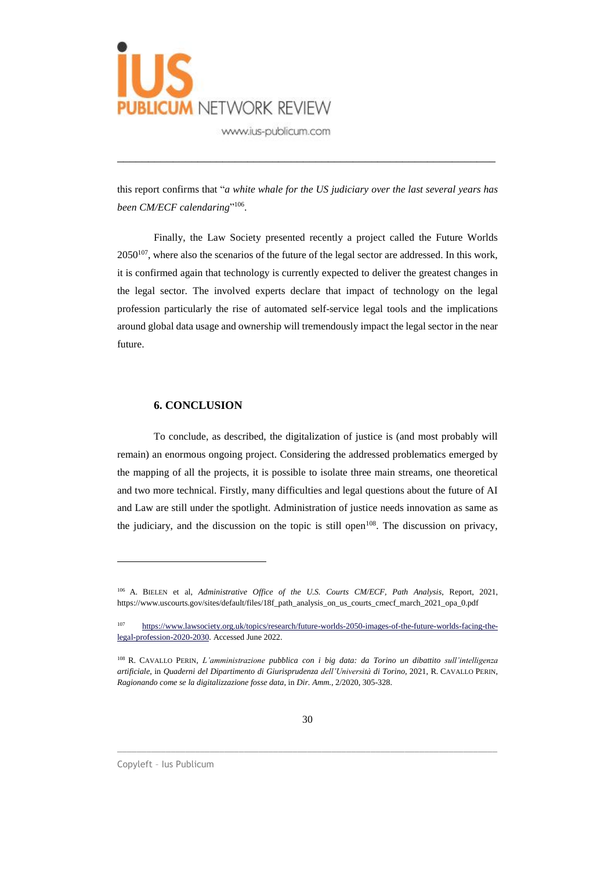

this report confirms that "*a white whale for the US judiciary over the last several years has been CM/ECF calendaring*" 106 .

\_\_\_\_\_\_\_\_\_\_\_\_\_\_\_\_\_\_\_\_\_\_\_\_\_\_\_\_\_\_\_\_\_\_\_\_\_\_\_\_\_\_\_\_\_\_\_\_\_\_\_\_\_\_\_\_\_\_\_\_\_

Finally, the Law Society presented recently a project called the Future Worlds  $2050^{107}$ , where also the scenarios of the future of the legal sector are addressed. In this work, it is confirmed again that technology is currently expected to deliver the greatest changes in the legal sector. The involved experts declare that impact of technology on the legal profession particularly the rise of automated self-service legal tools and the implications around global data usage and ownership will tremendously impact the legal sector in the near future.

#### **6. CONCLUSION**

To conclude, as described, the digitalization of justice is (and most probably will remain) an enormous ongoing project. Considering the addressed problematics emerged by the mapping of all the projects, it is possible to isolate three main streams, one theoretical and two more technical. Firstly, many difficulties and legal questions about the future of AI and Law are still under the spotlight. Administration of justice needs innovation as same as the judiciary, and the discussion on the topic is still open<sup>108</sup>. The discussion on privacy,

\_\_\_\_\_\_\_\_\_\_\_\_\_\_\_\_\_\_\_\_\_\_\_\_\_\_\_\_\_\_\_\_\_\_\_\_\_\_\_\_\_\_\_\_\_\_\_\_\_\_\_\_\_\_\_\_\_\_\_\_\_\_\_\_\_\_\_\_\_\_\_\_\_\_\_\_\_\_

<sup>106</sup> A. BIELEN et al, *Administrative Office of the U.S. Courts CM/ECF, Path Analysis*, Report, 2021, https://www.uscourts.gov/sites/default/files/18f\_path\_analysis\_on\_us\_courts\_cmecf\_march\_2021\_opa\_0.pdf

<sup>107</sup> [https://www.lawsociety.org.uk/topics/research/future-worlds-2050-images-of-the-future-worlds-facing-the](https://www.lawsociety.org.uk/topics/research/future-worlds-2050-images-of-the-future-worlds-facing-the-legal-profession-2020-2030)[legal-profession-2020-2030.](https://www.lawsociety.org.uk/topics/research/future-worlds-2050-images-of-the-future-worlds-facing-the-legal-profession-2020-2030) Accessed June 2022.

<sup>108</sup> R. CAVALLO PERIN, *L'amministrazione pubblica con i big data: da Torino un dibattito sull'intelligenza artificiale*, in *Quaderni del Dipartimento di Giurisprudenza dell'Università di Torino*, 2021, R. CAVALLO PERIN, *Ragionando come se la digitalizzazione fosse data*, in *Dir. Amm.*, 2/2020, 305-328.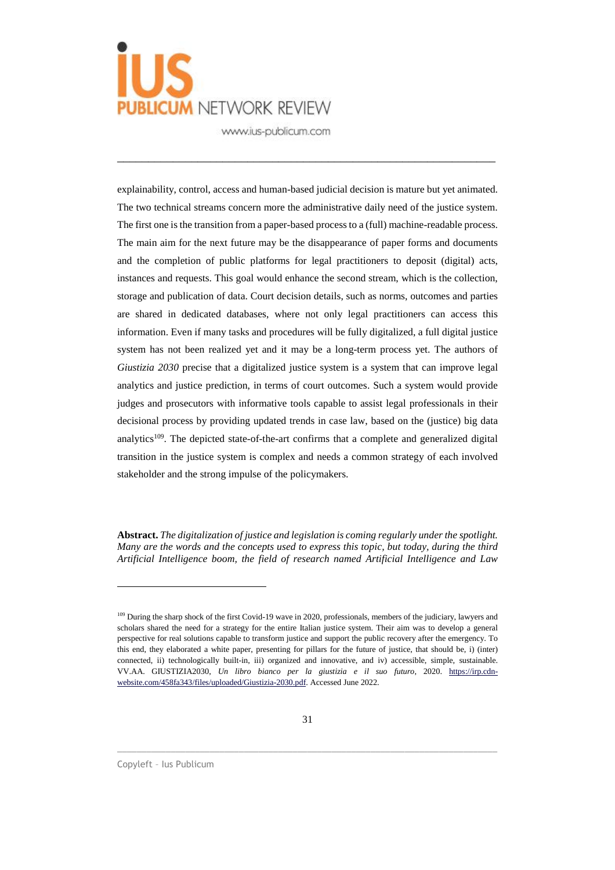

\_\_\_\_\_\_\_\_\_\_\_\_\_\_\_\_\_\_\_\_\_\_\_\_\_\_\_\_\_\_\_\_\_\_\_\_\_\_\_\_\_\_\_\_\_\_\_\_\_\_\_\_\_\_\_\_\_\_\_\_\_

explainability, control, access and human-based judicial decision is mature but yet animated. The two technical streams concern more the administrative daily need of the justice system. The first one is the transition from a paper-based process to a (full) machine-readable process. The main aim for the next future may be the disappearance of paper forms and documents and the completion of public platforms for legal practitioners to deposit (digital) acts, instances and requests. This goal would enhance the second stream, which is the collection, storage and publication of data. Court decision details, such as norms, outcomes and parties are shared in dedicated databases, where not only legal practitioners can access this information. Even if many tasks and procedures will be fully digitalized, a full digital justice system has not been realized yet and it may be a long-term process yet. The authors of *Giustizia 2030* precise that a digitalized justice system is a system that can improve legal analytics and justice prediction, in terms of court outcomes. Such a system would provide judges and prosecutors with informative tools capable to assist legal professionals in their decisional process by providing updated trends in case law, based on the (justice) big data analytics<sup>109</sup>. The depicted state-of-the-art confirms that a complete and generalized digital transition in the justice system is complex and needs a common strategy of each involved stakeholder and the strong impulse of the policymakers.

**Abstract.** *The digitalization of justice and legislation is coming regularly under the spotlight. Many are the words and the concepts used to express this topic, but today, during the third Artificial Intelligence boom, the field of research named Artificial Intelligence and Law*

\_\_\_\_\_\_\_\_\_\_\_\_\_\_\_\_\_\_\_\_\_\_\_\_\_\_\_\_\_\_\_\_\_\_\_\_\_\_\_\_\_\_\_\_\_\_\_\_\_\_\_\_\_\_\_\_\_\_\_\_\_\_\_\_\_\_\_\_\_\_\_\_\_\_\_\_\_\_

Copyleft – Ius Publicum

<sup>&</sup>lt;sup>109</sup> During the sharp shock of the first Covid-19 wave in 2020, professionals, members of the judiciary, lawyers and scholars shared the need for a strategy for the entire Italian justice system. Their aim was to develop a general perspective for real solutions capable to transform justice and support the public recovery after the emergency. To this end, they elaborated a white paper, presenting for pillars for the future of justice, that should be, i) (inter) connected, ii) technologically built-in, iii) organized and innovative, and iv) accessible, simple, sustainable. VV.AA. GIUSTIZIA2030, *Un libro bianco per la giustizia e il suo futuro*, 2020. [https://irp.cdn](https://irp.cdn-website.com/458fa343/files/uploaded/Giustizia-2030.pdf)[website.com/458fa343/files/uploaded/Giustizia-2030.pdf.](https://irp.cdn-website.com/458fa343/files/uploaded/Giustizia-2030.pdf) Accessed June 2022.